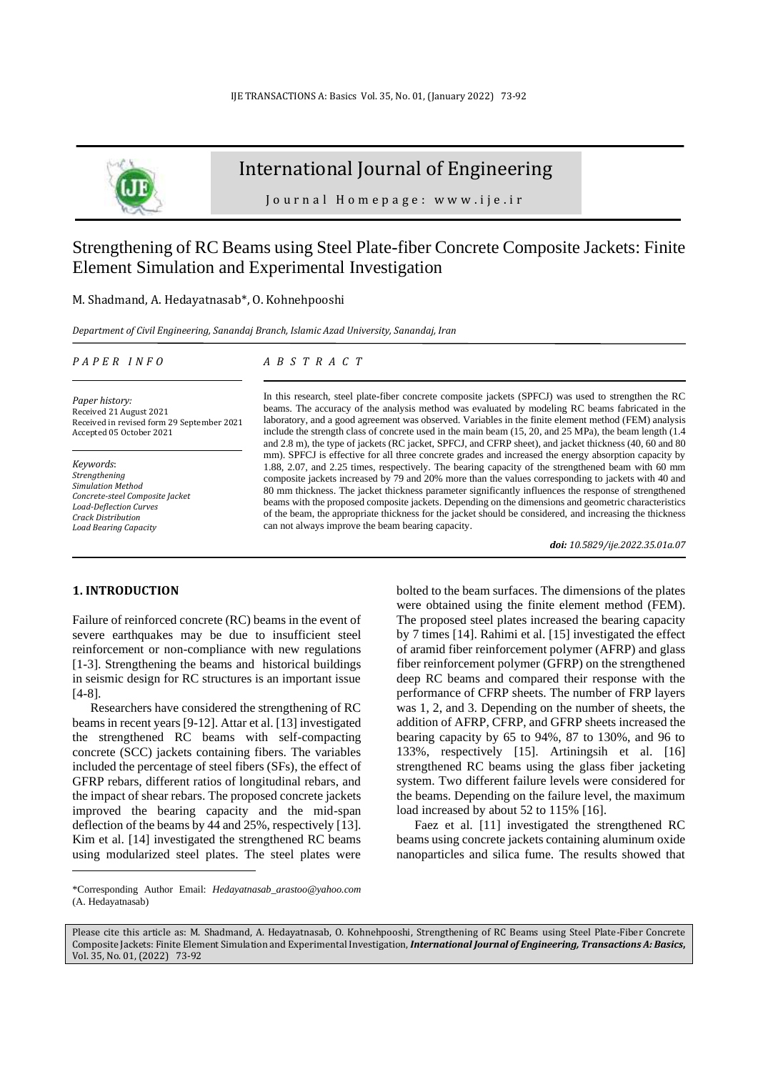

# International Journal of Engineering

J o u r n a l H o m e p a g e : w w w . i j e . i r

# Strengthening of RC Beams using Steel Plate-fiber Concrete Composite Jackets: Finite Element Simulation and Experimental Investigation

## M. Shadmand, A. Hedayatnasab\*, O. Kohnehpooshi

*Department of Civil Engineering, Sanandaj Branch, Islamic Azad University, Sanandaj, Iran*

#### *P A P E R I N F O*

*Paper history:* Received 21 August 2021 Received in revised form 29 September 2021 Accepted 05 October 2021

*Keywords*: *Strengthening Simulation Method Concrete-steel Composite Jacket Load-Deflection Curves Crack Distribution Load Bearing Capacity* 

## *A B S T R A C T*

In this research, steel plate-fiber concrete composite jackets (SPFCJ) was used to strengthen the RC beams. The accuracy of the analysis method was evaluated by modeling RC beams fabricated in the laboratory, and a good agreement was observed. Variables in the finite element method (FEM) analysis include the strength class of concrete used in the main beam (15, 20, and 25 MPa), the beam length (1.4 and 2.8 m), the type of jackets (RC jacket, SPFCJ, and CFRP sheet), and jacket thickness (40, 60 and 80 mm). SPFCJ is effective for all three concrete grades and increased the energy absorption capacity by 1.88, 2.07, and 2.25 times, respectively. The bearing capacity of the strengthened beam with 60 mm composite jackets increased by 79 and 20% more than the values corresponding to jackets with 40 and 80 mm thickness. The jacket thickness parameter significantly influences the response of strengthened beams with the proposed composite jackets. Depending on the dimensions and geometric characteristics of the beam, the appropriate thickness for the jacket should be considered, and increasing the thickness can not always improve the beam bearing capacity.

*doi: 10.5829/ije.2022.35.01a.07*

## **1. INTRODUCTION <sup>1</sup>**

Failure of reinforced concrete (RC) beams in the event of severe earthquakes may be due to insufficient steel reinforcement or non-compliance with new regulations [1-3]. Strengthening the beams and historical buildings in seismic design for RC structures is an important issue [4-8].

Researchers have considered the strengthening of RC beams in recent years [9-12]. Attar et al. [13] investigated the strengthened RC beams with self-compacting concrete (SCC) jackets containing fibers. The variables included the percentage of steel fibers (SFs), the effect of GFRP rebars, different ratios of longitudinal rebars, and the impact of shear rebars. The proposed concrete jackets improved the bearing capacity and the mid-span deflection of the beams by 44 and 25%, respectively [13]. Kim et al. [14] investigated the strengthened RC beams using modularized steel plates. The steel plates were

by 7 times [14]. Rahimi et al. [15] investigated the effect of aramid fiber reinforcement polymer (AFRP) and glass fiber reinforcement polymer (GFRP) on the strengthened deep RC beams and compared their response with the performance of CFRP sheets. The number of FRP layers was 1, 2, and 3. Depending on the number of sheets, the addition of AFRP, CFRP, and GFRP sheets increased the bearing capacity by 65 to 94%, 87 to 130%, and 96 to 133%, respectively [15]. Artiningsih et al. [16] strengthened RC beams using the glass fiber jacketing system. Two different failure levels were considered for the beams. Depending on the failure level, the maximum load increased by about 52 to 115% [16].

bolted to the beam surfaces. The dimensions of the plates were obtained using the finite element method (FEM). The proposed steel plates increased the bearing capacity

Faez et al. [11] investigated the strengthened RC beams using concrete jackets containing aluminum oxide nanoparticles and silica fume. The results showed that

Please cite this article as: M. Shadmand, A. Hedayatnasab, O. Kohnehpooshi, Strengthening of RC Beams using Steel Plate-Fiber Concrete Composite Jackets: Finite Element Simulation and Experimental Investigation, *International Journal of Engineering, Transactions A: Basics***,** Vol. 35, No. 01, (2022)73-92

<sup>\*</sup>Corresponding Author Email: *Hedayatnasab\_arastoo@yahoo.com*  (A. Hedayatnasab)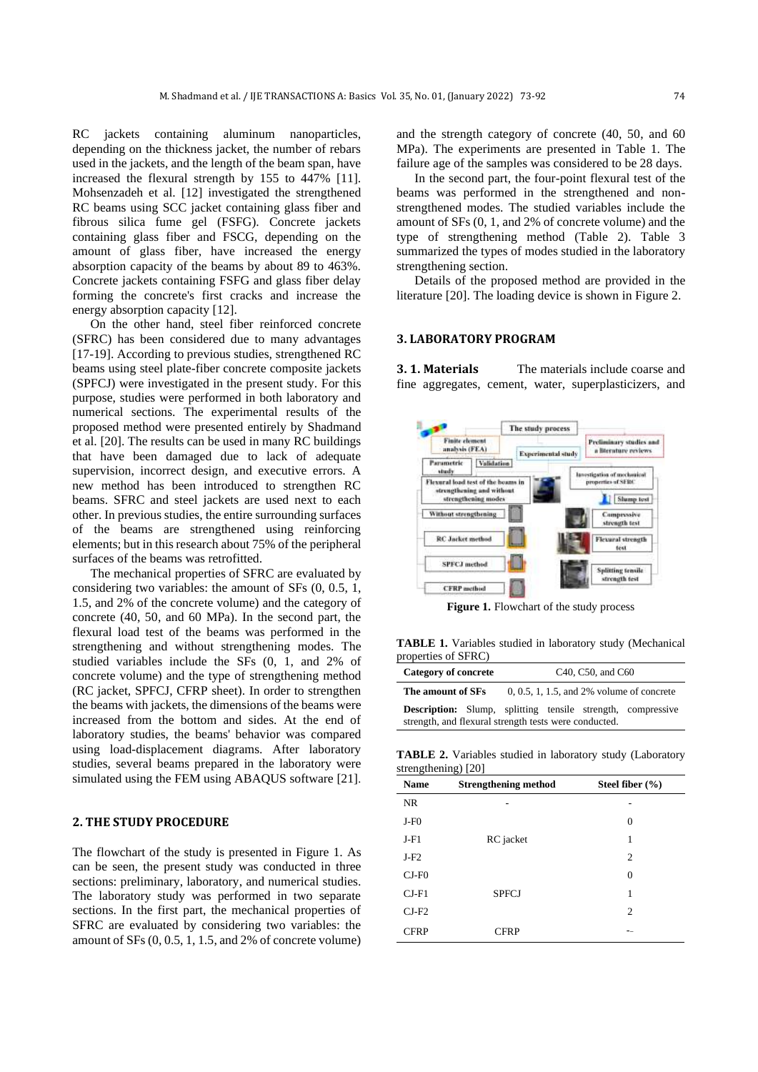RC jackets containing aluminum nanoparticles, depending on the thickness jacket, the number of rebars used in the jackets, and the length of the beam span, have increased the flexural strength by 155 to 447% [11]. Mohsenzadeh et al. [12] investigated the strengthened RC beams using SCC jacket containing glass fiber and fibrous silica fume gel (FSFG). Concrete jackets containing glass fiber and FSCG, depending on the amount of glass fiber, have increased the energy absorption capacity of the beams by about 89 to 463%. Concrete jackets containing FSFG and glass fiber delay forming the concrete's first cracks and increase the energy absorption capacity [12].

On the other hand, steel fiber reinforced concrete (SFRC) has been considered due to many advantages [17-19]. According to previous studies, strengthened RC beams using steel plate-fiber concrete composite jackets (SPFCJ) were investigated in the present study. For this purpose, studies were performed in both laboratory and numerical sections. The experimental results of the proposed method were presented entirely by Shadmand et al. [20]. The results can be used in many RC buildings that have been damaged due to lack of adequate supervision, incorrect design, and executive errors. A new method has been introduced to strengthen RC beams. SFRC and steel jackets are used next to each other. In previous studies, the entire surrounding surfaces of the beams are strengthened using reinforcing elements; but in this research about 75% of the peripheral surfaces of the beams was retrofitted.

The mechanical properties of SFRC are evaluated by considering two variables: the amount of SFs (0, 0.5, 1, 1.5, and 2% of the concrete volume) and the category of concrete (40, 50, and 60 MPa). In the second part, the flexural load test of the beams was performed in the strengthening and without strengthening modes. The studied variables include the SFs (0, 1, and 2% of concrete volume) and the type of strengthening method (RC jacket, SPFCJ, CFRP sheet). In order to strengthen the beams with jackets, the dimensions of the beams were increased from the bottom and sides. At the end of laboratory studies, the beams' behavior was compared using load-displacement diagrams. After laboratory studies, several beams prepared in the laboratory were simulated using the FEM using ABAQUS software [21] .

## **2. THE STUDY PROCEDURE**

The flowchart of the study is presented in Figure 1. As can be seen, the present study was conducted in three sections: preliminary, laboratory, and numerical studies. The laboratory study was performed in two separate sections. In the first part, the mechanical properties of SFRC are evaluated by considering two variables: the amount of SFs (0, 0.5, 1, 1.5, and 2% of concrete volume) and the strength category of concrete (40, 50, and 60 MPa). The experiments are presented in Table 1. The failure age of the samples was considered to be 28 days.

In the second part, the four-point flexural test of the beams was performed in the strengthened and nonstrengthened modes. The studied variables include the amount of SFs (0, 1, and 2% of concrete volume) and the type of strengthening method (Table 2). Table 3 summarized the types of modes studied in the laboratory strengthening section.

Details of the proposed method are provided in the literature [20]. The loading device is shown in Figure 2.

### **3. LABORATORY PROGRAM**

**3. 1. Materials** The materials include coarse and fine aggregates, cement, water, superplasticizers, and



**Figure 1.** Flowchart of the study process

**TABLE 1.** Variables studied in laboratory study (Mechanical properties of SFRC)

| <b>Category of concrete</b> | C <sub>40</sub> , C <sub>50</sub> , and C <sub>60</sub>                                                                     |
|-----------------------------|-----------------------------------------------------------------------------------------------------------------------------|
| The amount of SFs           | $0, 0.5, 1, 1.5,$ and $2\%$ volume of concrete                                                                              |
|                             | <b>Description:</b> Slump, splitting tensile strength, compressive<br>strength, and flexural strength tests were conducted. |

**TABLE 2.** Variables studied in laboratory study (Laboratory strengthening) [20]

| <b>Name</b> | <b>Strengthening method</b> | Steel fiber $(\% )$ |
|-------------|-----------------------------|---------------------|
| <b>NR</b>   |                             |                     |
| $J-F0$      |                             | $\theta$            |
| $J-F1$      | RC jacket                   | 1                   |
| $J-F2$      |                             | 2                   |
| $CI-F0$     |                             | $\theta$            |
| $CI-F1$     | <b>SPFCJ</b>                | 1                   |
| $CI-F2$     |                             | 2                   |
| <b>CFRP</b> | <b>CFRP</b>                 | --                  |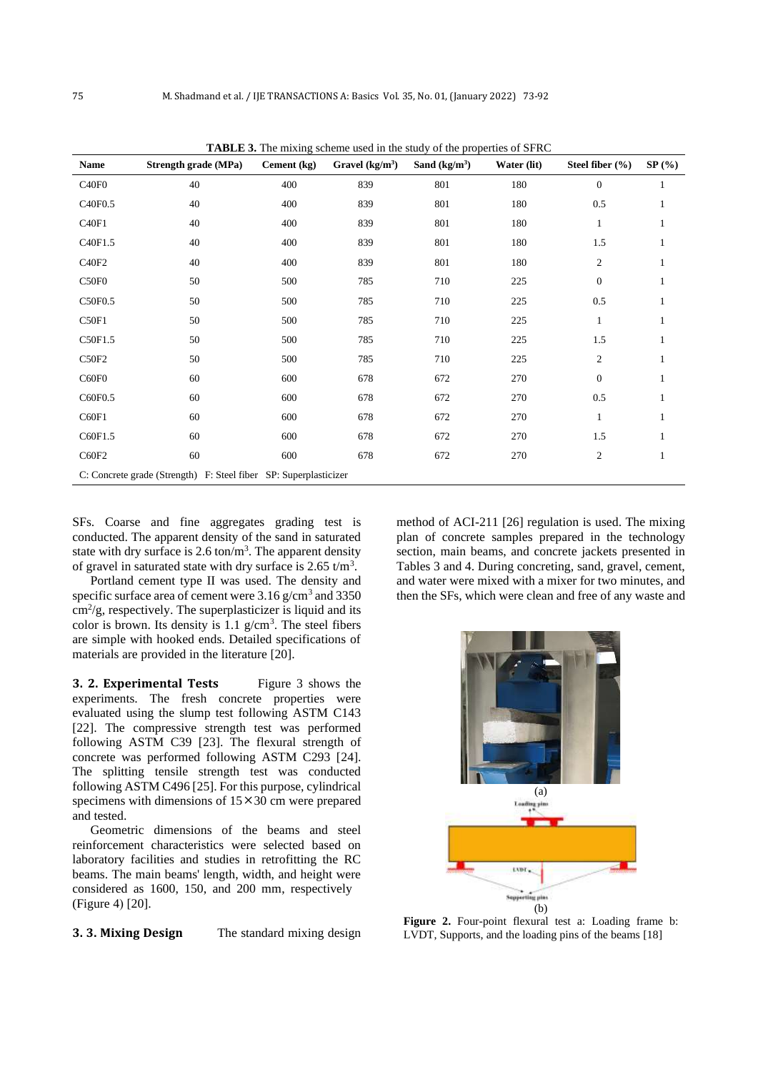| Name              | <b>Strength grade (MPa)</b>                                      | Cement (kg) | Gravel $(kg/m3)$ | Sand $(kg/m3)$ | Water (lit) | Steel fiber $(\% )$ | $SP(\%)$ |
|-------------------|------------------------------------------------------------------|-------------|------------------|----------------|-------------|---------------------|----------|
| C <sub>40F0</sub> | 40                                                               | 400         | 839              | 801            | 180         | $\boldsymbol{0}$    |          |
| C40F0.5           | 40                                                               | 400         | 839              | 801            | 180         | 0.5                 |          |
| C40F1             | 40                                                               | 400         | 839              | 801            | 180         | $\mathbf{1}$        | 1        |
| C40F1.5           | 40                                                               | 400         | 839              | 801            | 180         | 1.5                 | 1        |
| C40F2             | 40                                                               | 400         | 839              | 801            | 180         | $\mathfrak{2}$      |          |
| C <sub>50F0</sub> | 50                                                               | 500         | 785              | 710            | 225         | $\boldsymbol{0}$    | 1        |
| C50F0.5           | 50                                                               | 500         | 785              | 710            | 225         | 0.5                 |          |
| C50F1             | 50                                                               | 500         | 785              | 710            | 225         | $\mathbf{1}$        |          |
| C50F1.5           | 50                                                               | 500         | 785              | 710            | 225         | 1.5                 | 1        |
| C50F2             | 50                                                               | 500         | 785              | 710            | 225         | $\overline{c}$      | 1        |
| C60F0             | 60                                                               | 600         | 678              | 672            | 270         | $\boldsymbol{0}$    | 1        |
| C60F0.5           | 60                                                               | 600         | 678              | 672            | 270         | 0.5                 |          |
| C60F1             | 60                                                               | 600         | 678              | 672            | 270         | $\mathbf{1}$        |          |
| C60F1.5           | 60                                                               | 600         | 678              | 672            | 270         | 1.5                 |          |
| C60F2             | 60                                                               | 600         | 678              | 672            | 270         | $\mathfrak{2}$      | 1        |
|                   | C: Concrete grade (Strength) F: Steel fiber SP: Superplasticizer |             |                  |                |             |                     |          |

**TABLE 3.** The mixing scheme used in the study of the properties of SFRC

SFs. Coarse and fine aggregates grading test is conducted. The apparent density of the sand in saturated state with dry surface is  $2.6 \text{ ton/m}^3$ . The apparent density of gravel in saturated state with dry surface is  $2.65 \text{ t/m}^3$ .

Portland cement type II was used. The density and specific surface area of cement were  $3.16$  g/cm<sup>3</sup> and  $3350$  $\text{cm}^2/\text{g}$ , respectively. The superplasticizer is liquid and its color is brown. Its density is  $1.1$  g/cm<sup>3</sup>. The steel fibers are simple with hooked ends. Detailed specifications of materials are provided in the literature [20].

**3. 2. Experimental Tests** Figure 3 shows the experiments. The fresh concrete properties were evaluated using the slump test following ASTM C143 [22]. The compressive strength test was performed following ASTM C39 [23]. The flexural strength of concrete was performed following ASTM C293 [24]. The splitting tensile strength test was conducted following ASTM C496 [25]. For this purpose, cylindrical specimens with dimensions of  $15 \times 30$  cm were prepared and tested.

Geometric dimensions of the beams and steel reinforcement characteristics were selected based on laboratory facilities and studies in retrofitting the RC beams. The main beams' length, width, and height were considered as 1600, 150, and 200 mm, respectively  $(Figure 4)$  [20].

**3. 3. Mixing Design** The standard mixing design

method of ACI-211 [26] regulation is used. The mixing plan of concrete samples prepared in the technology section, main beams, and concrete jackets presented in Tables 3 and 4. During concreting, sand, gravel, cement, and water were mixed with a mixer for two minutes, and then the SFs, which were clean and free of any waste and



**Figure 2.** Four-point flexural test a: Loading frame b: LVDT, Supports, and the loading pins of the beams [18]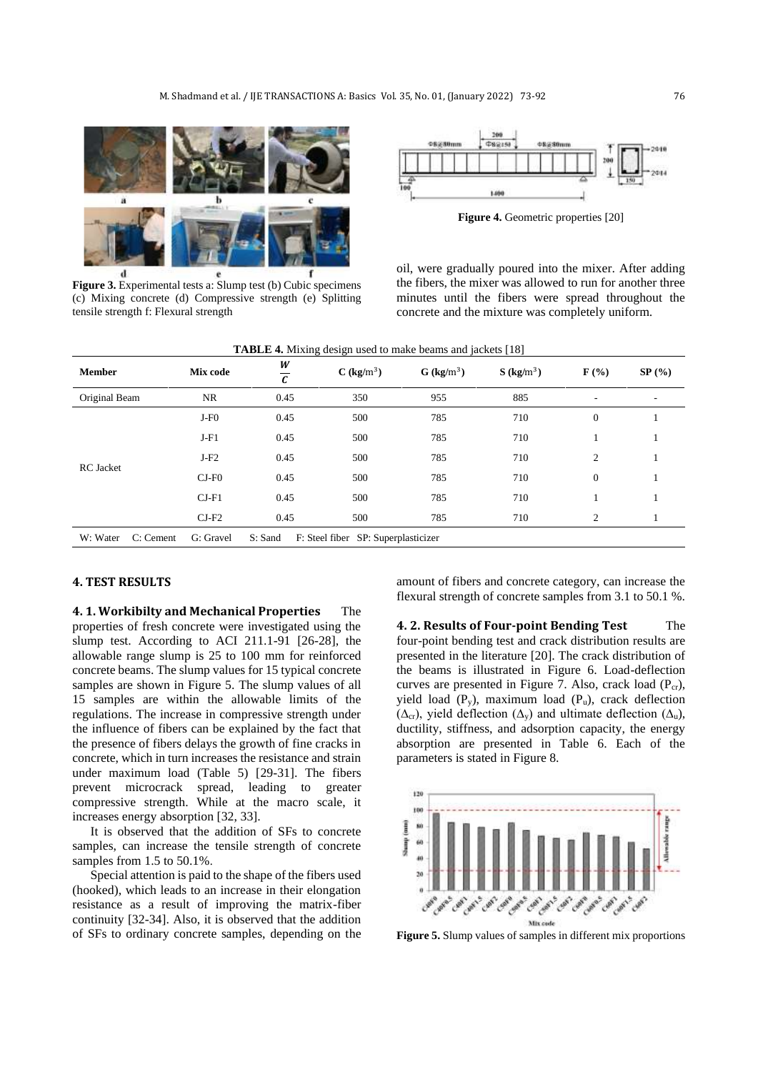

**Figure 3.** Experimental tests a: Slump test (b) Cubic specimens (c) Mixing concrete (d) Compressive strength (e) Splitting tensile strength f: Flexural strength



**Figure 4.** Geometric properties [20]

oil, were gradually poured into the mixer. After adding the fibers, the mixer was allowed to run for another three minutes until the fibers were spread throughout the concrete and the mixture was completely uniform.

|                       |           | בי                  | $\cdots$                            |                          | 1.001                    |                  |          |
|-----------------------|-----------|---------------------|-------------------------------------|--------------------------|--------------------------|------------------|----------|
| <b>Member</b>         | Mix code  | W<br>$\overline{c}$ | $C$ (kg/m <sup>3</sup> )            | $G$ (kg/m <sup>3</sup> ) | $S$ (kg/m <sup>3</sup> ) | $\mathbf{F}$ (%) | $SP(\%)$ |
| Original Beam         | <b>NR</b> | 0.45                | 350                                 | 955                      | 885                      | ۰.               | ۰        |
|                       | $J-F0$    | 0.45                | 500                                 | 785                      | 710                      | $\mathbf{0}$     |          |
|                       | $J-F1$    | 0.45                | 500                                 | 785                      | 710                      |                  |          |
|                       | $J-F2$    | 0.45                | 500                                 | 785                      | 710                      | 2                |          |
| <b>RC</b> Jacket      | $CJ-F0$   | 0.45                | 500                                 | 785                      | 710                      | $\mathbf{0}$     |          |
|                       | $CI-F1$   | 0.45                | 500                                 | 785                      | 710                      |                  |          |
|                       | $CI-F2$   | 0.45                | 500                                 | 785                      | 710                      | 2                |          |
| W: Water<br>C: Cement | G: Gravel | S: Sand             | F: Steel fiber SP: Superplasticizer |                          |                          |                  |          |

#### **TABLE 4.** Mixing design used to make beams and jackets [18]

## **4. TEST RESULTS**

**4. 1. Workibilty and Mechanical Properties** The properties of fresh concrete were investigated using the slump test. According to ACI 211.1-91 [26-28], the allowable range slump is 25 to 100 mm for reinforced concrete beams. The slump values for 15 typical concrete samples are shown in Figure 5. The slump values of all 15 samples are within the allowable limits of the regulations. The increase in compressive strength under the influence of fibers can be explained by the fact that the presence of fibers delays the growth of fine cracks in concrete, which in turn increases the resistance and strain under maximum load (Table 5) [29-31]. The fibers prevent microcrack spread, leading to greater compressive strength. While at the macro scale, it increases energy absorption [32, 33].

It is observed that the addition of SFs to concrete samples, can increase the tensile strength of concrete samples from 1.5 to 50.1%.

Special attention is paid to the shape of the fibers used (hooked), which leads to an increase in their elongation resistance as a result of improving the matrix-fiber continuity [32-34]. Also, it is observed that the addition of SFs to ordinary concrete samples, depending on the amount of fibers and concrete category, can increase the flexural strength of concrete samples from 3.1 to 50.1 %.

**4. 2. Results of Four-point Bending Test** The four-point bending test and crack distribution results are presented in the literature [20]. The crack distribution of the beams is illustrated in Figure 6. Load-deflection curves are presented in Figure 7. Also, crack load  $(P_{cr})$ , yield load  $(P_v)$ , maximum load  $(P_u)$ , crack deflection  $(\Delta_{cr})$ , yield deflection  $(\Delta_v)$  and ultimate deflection  $(\Delta_u)$ , ductility, stiffness, and adsorption capacity, the energy absorption are presented in Table 6. Each of the parameters is stated in Figure 8.



**Figure 5.** Slump values of samples in different mix proportions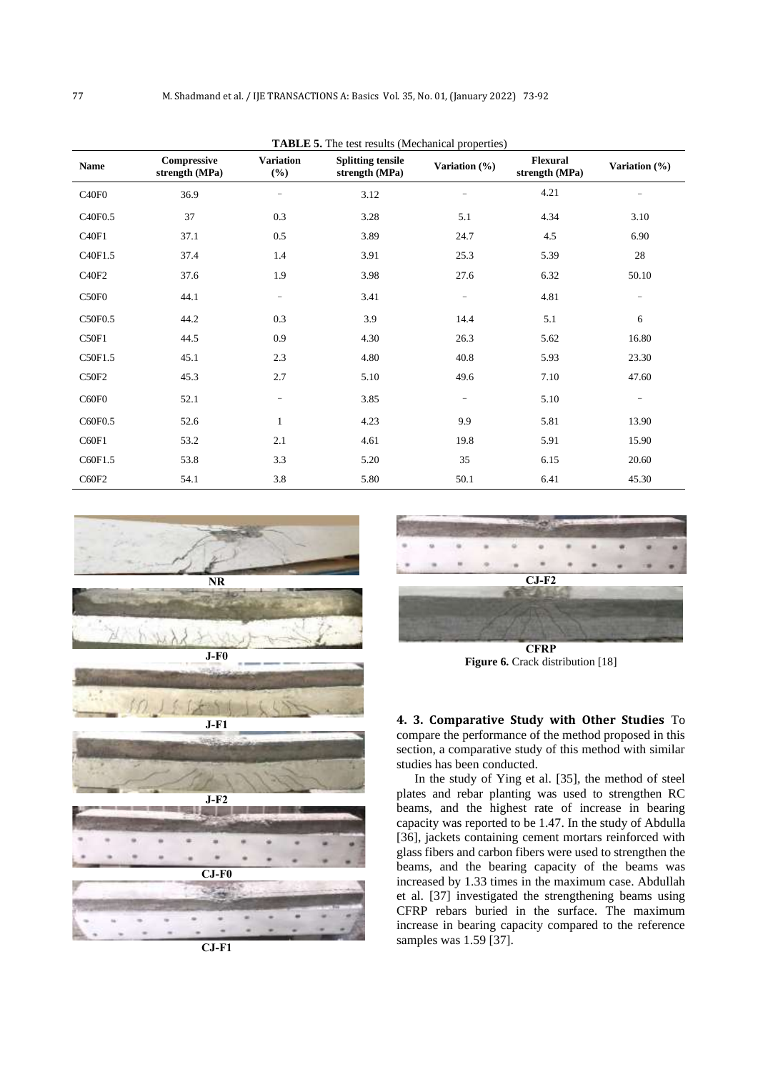**TABLE 5.** The test results (Mechanical properties)

|                   |                               |                            | <b>TADLE 5.</b> The test results (intechanted properties) |                          |                                   |                   |
|-------------------|-------------------------------|----------------------------|-----------------------------------------------------------|--------------------------|-----------------------------------|-------------------|
| Name              | Compressive<br>strength (MPa) | <b>Variation</b><br>$(\%)$ | <b>Splitting tensile</b><br>strength (MPa)                | Variation $(\%)$         | <b>Flexural</b><br>strength (MPa) | Variation (%)     |
| C40F0             | 36.9                          | $\overline{\phantom{a}}$   | 3.12                                                      |                          | 4.21                              | -                 |
| C40F0.5           | 37                            | 0.3                        | 3.28                                                      | 5.1                      | 4.34                              | 3.10              |
| C40F1             | 37.1                          | 0.5                        | 3.89                                                      | 24.7                     | 4.5                               | 6.90              |
| C40F1.5           | 37.4                          | 1.4                        | 3.91                                                      | 25.3                     | 5.39                              | 28                |
| C40F2             | 37.6                          | 1.9                        | 3.98                                                      | 27.6                     | 6.32                              | 50.10             |
| C <sub>50F0</sub> | 44.1                          | $\qquad \qquad -$          | 3.41                                                      | $\overline{\phantom{m}}$ | 4.81                              | $\qquad \qquad -$ |
| C50F0.5           | 44.2                          | 0.3                        | 3.9                                                       | 14.4                     | 5.1                               | 6                 |
| C50F1             | 44.5                          | 0.9                        | 4.30                                                      | 26.3                     | 5.62                              | 16.80             |
| C50F1.5           | 45.1                          | 2.3                        | 4.80                                                      | 40.8                     | 5.93                              | 23.30             |
| C50F2             | 45.3                          | 2.7                        | 5.10                                                      | 49.6                     | 7.10                              | 47.60             |
| C60F0             | 52.1                          | $\qquad \qquad -$          | 3.85                                                      | $\overline{\phantom{m}}$ | 5.10                              | $\qquad \qquad -$ |
| C60F0.5           | 52.6                          | $\mathbf{1}$               | 4.23                                                      | 9.9                      | 5.81                              | 13.90             |
| C60F1             | 53.2                          | 2.1                        | 4.61                                                      | 19.8                     | 5.91                              | 15.90             |
| C60F1.5           | 53.8                          | 3.3                        | 5.20                                                      | 35                       | 6.15                              | 20.60             |
| C60F2             | 54.1                          | 3.8                        | 5.80                                                      | 50.1                     | 6.41                              | 45.30             |



**CJ-F1**



**Figure 6.** Crack distribution [18]

**4. 3. Comparative Study with Other Studies** To compare the performance of the method proposed in this section, a comparative study of this method with similar studies has been conducted.

In the study of Ying et al. [35], the method of steel plates and rebar planting was used to strengthen RC beams, and the highest rate of increase in bearing capacity was reported to be 1.47. In the study of Abdulla [36], jackets containing cement mortars reinforced with glass fibers and carbon fibers were used to strengthen the beams, and the bearing capacity of the beams was increased by 1.33 times in the maximum case. Abdullah et al. [37] investigated the strengthening beams using CFRP rebars buried in the surface. The maximum increase in bearing capacity compared to the reference samples was 1.59 [37].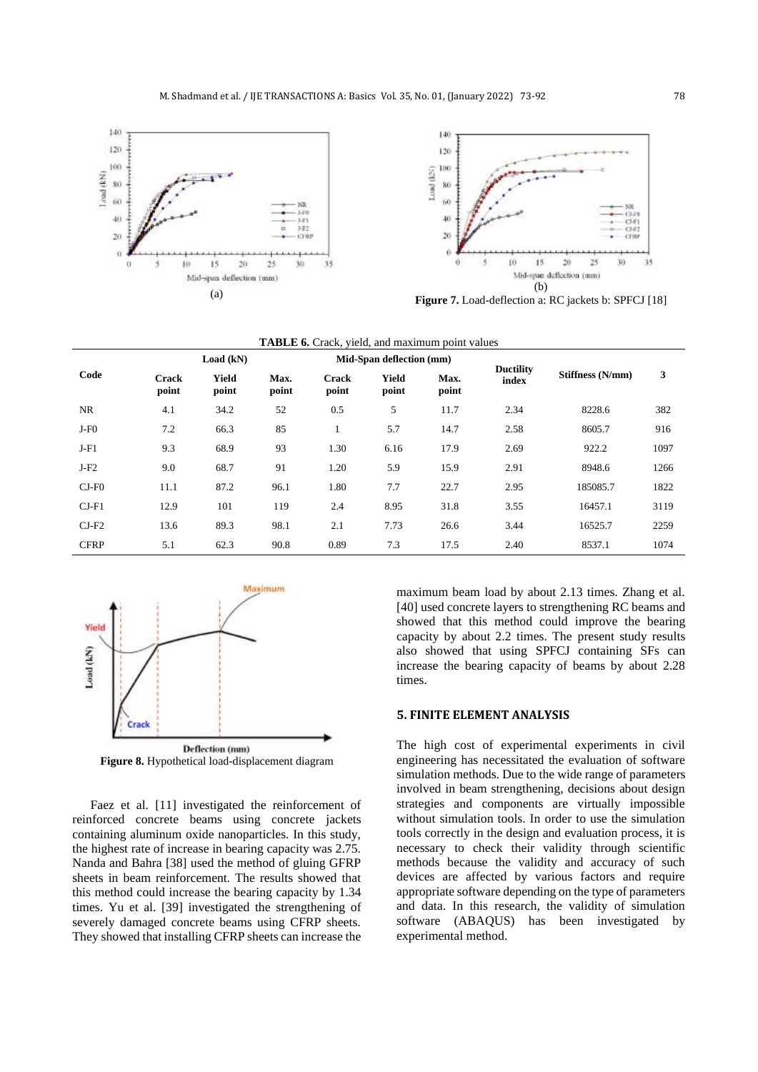



|             |                | Load (kN)      |               |                | Mid-Span deflection (mm) |               | <b>Ductility</b> |                  |      |
|-------------|----------------|----------------|---------------|----------------|--------------------------|---------------|------------------|------------------|------|
| Code        | Crack<br>point | Yield<br>point | Max.<br>point | Crack<br>point | Yield<br>point           | Max.<br>point | index            | Stiffness (N/mm) | 3    |
| NR.         | 4.1            | 34.2           | 52            | 0.5            | 5                        | 11.7          | 2.34             | 8228.6           | 382  |
| $J-F0$      | 7.2            | 66.3           | 85            |                | 5.7                      | 14.7          | 2.58             | 8605.7           | 916  |
| $J-F1$      | 9.3            | 68.9           | 93            | 1.30           | 6.16                     | 17.9          | 2.69             | 922.2            | 1097 |
| $J-F2$      | 9.0            | 68.7           | 91            | 1.20           | 5.9                      | 15.9          | 2.91             | 8948.6           | 1266 |
| $CJ-F0$     | 11.1           | 87.2           | 96.1          | 1.80           | 7.7                      | 22.7          | 2.95             | 185085.7         | 1822 |
| $CI-F1$     | 12.9           | 101            | 119           | 2.4            | 8.95                     | 31.8          | 3.55             | 16457.1          | 3119 |
| $CI-F2$     | 13.6           | 89.3           | 98.1          | 2.1            | 7.73                     | 26.6          | 3.44             | 16525.7          | 2259 |
| <b>CFRP</b> | 5.1            | 62.3           | 90.8          | 0.89           | 7.3                      | 17.5          | 2.40             | 8537.1           | 1074 |

| <b>TABLE 6.</b> Crack, yield, and maximum point values |  |  |  |  |  |  |
|--------------------------------------------------------|--|--|--|--|--|--|
|--------------------------------------------------------|--|--|--|--|--|--|



**Figure 8.** Hypothetical load-displacement diagram

Faez et al. [11] investigated the reinforcement of reinforced concrete beams using concrete jackets containing aluminum oxide nanoparticles. In this study, the highest rate of increase in bearing capacity was 2.75. Nanda and Bahra [38] used the method of gluing GFRP sheets in beam reinforcement. The results showed that this method could increase the bearing capacity by 1.34 times. Yu et al. [39] investigated the strengthening of severely damaged concrete beams using CFRP sheets. They showed that installing CFRP sheets can increase the maximum beam load by about 2.13 times. Zhang et al. [40] used concrete layers to strengthening RC beams and showed that this method could improve the bearing capacity by about 2.2 times. The present study results also showed that using SPFCJ containing SFs can increase the bearing capacity of beams by about 2.28 times.

## **5. FINITE ELEMENT ANALYSIS**

The high cost of experimental experiments in civil engineering has necessitated the evaluation of software simulation methods. Due to the wide range of parameters involved in beam strengthening, decisions about design strategies and components are virtually impossible without simulation tools. In order to use the simulation tools correctly in the design and evaluation process, it is necessary to check their validity through scientific methods because the validity and accuracy of such devices are affected by various factors and require appropriate software depending on the type of parameters and data. In this research, the validity of simulation software (ABAQUS) has been investigated by experimental method.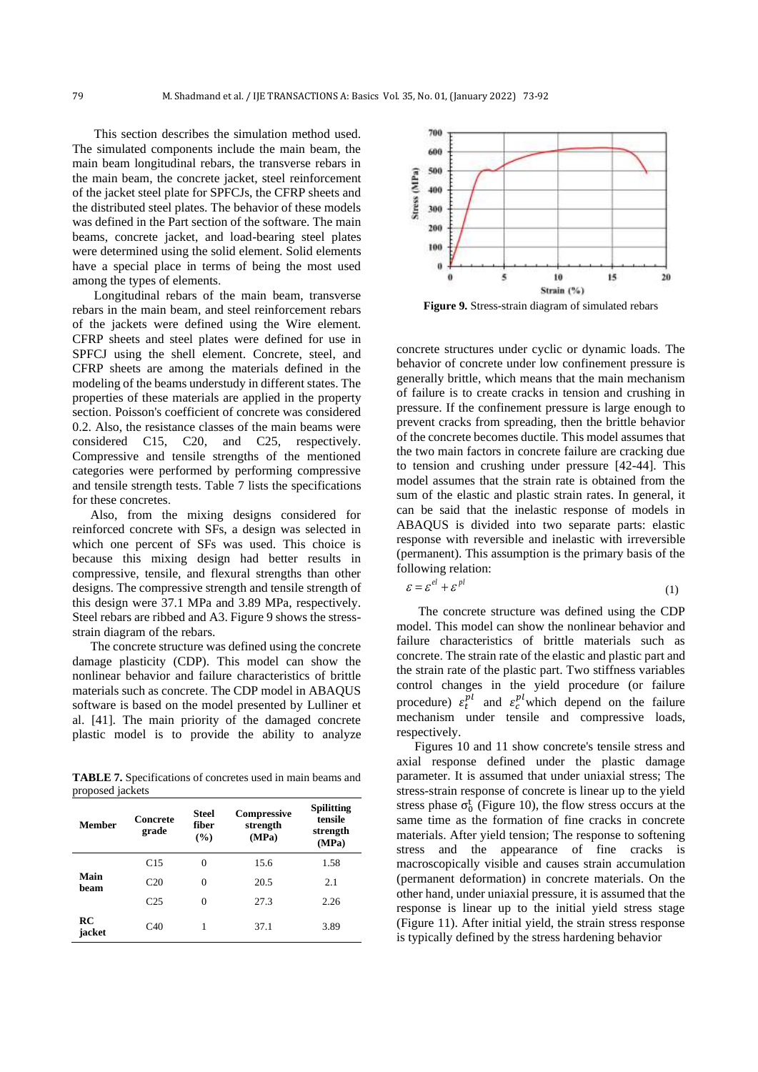This section describes the simulation method used. The simulated components include the main beam, the main beam longitudinal rebars, the transverse rebars in the main beam, the concrete jacket, steel reinforcement of the jacket steel plate for SPFCJs, the CFRP sheets and the distributed steel plates. The behavior of these models was defined in the Part section of the software. The main beams, concrete jacket, and load-bearing steel plates were determined using the solid element. Solid elements have a special place in terms of being the most used among the types of elements.

Longitudinal rebars of the main beam, transverse rebars in the main beam, and steel reinforcement rebars of the jackets were defined using the Wire element. CFRP sheets and steel plates were defined for use in SPFCJ using the shell element. Concrete, steel, and CFRP sheets are among the materials defined in the modeling of the beams understudy in different states. The properties of these materials are applied in the property section. Poisson's coefficient of concrete was considered 0.2. Also, the resistance classes of the main beams were considered C15, C20, and C25, respectively. Compressive and tensile strengths of the mentioned categories were performed by performing compressive and tensile strength tests. Table 7 lists the specifications for these concretes.

Also, from the mixing designs considered for reinforced concrete with SFs, a design was selected in which one percent of SFs was used. This choice is because this mixing design had better results in compressive, tensile, and flexural strengths than other designs. The compressive strength and tensile strength of this design were 37.1 MPa and 3.89 MPa, respectively. Steel rebars are ribbed and A3. Figure 9 shows the stressstrain diagram of the rebars.

The concrete structure was defined using the concrete damage plasticity (CDP). This model can show the nonlinear behavior and failure characteristics of brittle materials such as concrete. The CDP model in ABAQUS software is based on the model presented by Lulliner et al. [41]. The main priority of the damaged concrete plastic model is to provide the ability to analyze

**TABLE 7.** Specifications of concretes used in main beams and proposed jackets

| Member       | Concrete<br>grade | <b>Steel</b><br>fiber<br>$($ %) | <b>Compressive</b><br>strength<br>(MPa) | <b>Spilitting</b><br>tensile<br>strength<br>(MPa) |
|--------------|-------------------|---------------------------------|-----------------------------------------|---------------------------------------------------|
|              | C15               | 0                               | 15.6                                    | 1.58                                              |
| Main<br>beam | C <sub>20</sub>   | 0                               | 20.5                                    | 2.1                                               |
|              | C <sub>25</sub>   | 0                               | 27.3                                    | 2.26                                              |
| RC<br>jacket | C40               | 1                               | 37.1                                    | 3.89                                              |



**Figure 9.** Stress-strain diagram of simulated rebars

concrete structures under cyclic or dynamic loads. The behavior of concrete under low confinement pressure is generally brittle, which means that the main mechanism of failure is to create cracks in tension and crushing in pressure. If the confinement pressure is large enough to prevent cracks from spreading, then the brittle behavior of the concrete becomes ductile. This model assumes that the two main factors in concrete failure are cracking due to tension and crushing under pressure [42-44]. This model assumes that the strain rate is obtained from the sum of the elastic and plastic strain rates. In general, it can be said that the inelastic response of models in ABAQUS is divided into two separate parts: elastic response with reversible and inelastic with irreversible (permanent). This assumption is the primary basis of the following relation:

$$
\varepsilon = \varepsilon^{el} + \varepsilon^{pl} \tag{1}
$$

The concrete structure was defined using the CDP model. This model can show the nonlinear behavior and failure characteristics of brittle materials such as concrete. The strain rate of the elastic and plastic part and the strain rate of the plastic part. Two stiffness variables control changes in the yield procedure (or failure procedure)  $\varepsilon_t^{pl}$  and  $\varepsilon_c^{pl}$  which depend on the failure mechanism under tensile and compressive loads, respectively.

Figures 10 and 11 show concrete's tensile stress and axial response defined under the plastic damage parameter. It is assumed that under uniaxial stress; The stress-strain response of concrete is linear up to the yield stress phase  $\sigma_0^t$  (Figure 10), the flow stress occurs at the same time as the formation of fine cracks in concrete materials. After yield tension; The response to softening stress and the appearance of fine cracks is macroscopically visible and causes strain accumulation (permanent deformation) in concrete materials. On the other hand, under uniaxial pressure, it is assumed that the response is linear up to the initial yield stress stage (Figure 11). After initial yield, the strain stress response is typically defined by the stress hardening behavior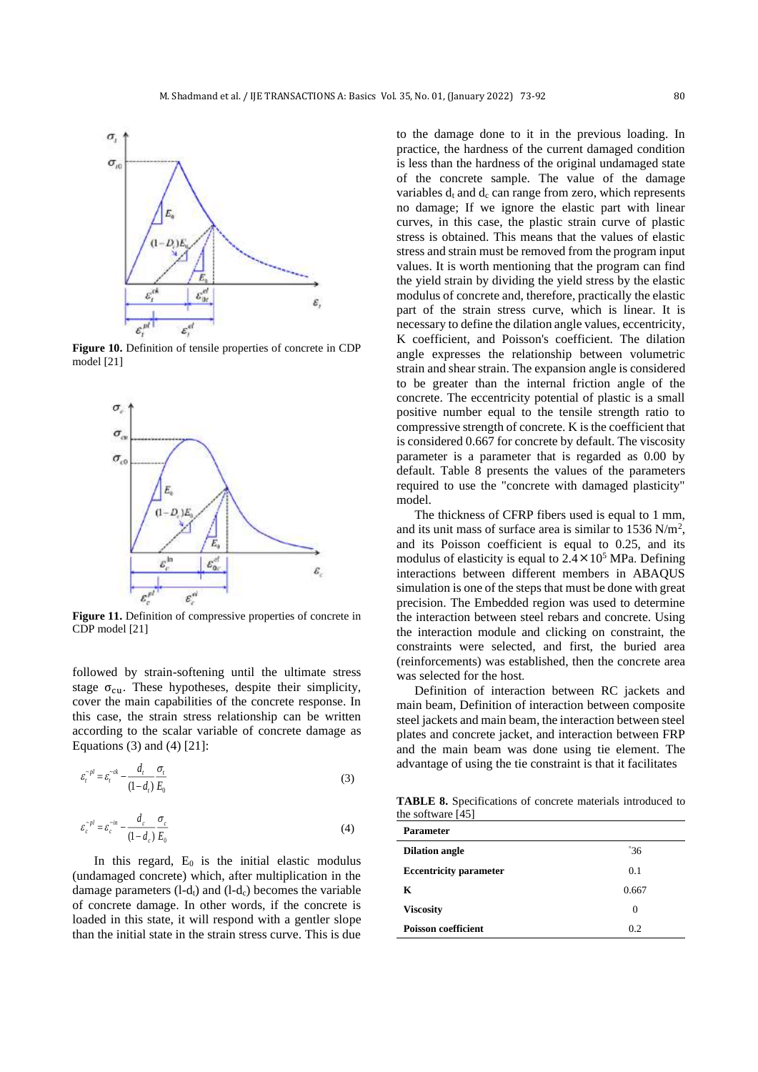

**Figure 10.** Definition of tensile properties of concrete in CDP model [21]



Figure 11. Definition of compressive properties of concrete in CDP model [21]

followed by strain-softening until the ultimate stress stage  $\sigma_{\rm cu}$ . These hypotheses, despite their simplicity, cover the main capabilities of the concrete response. In this case, the strain stress relationship can be written according to the scalar variable of concrete damage as Equations (3) and (4) [21]:

$$
\varepsilon_i^{-pl} = \varepsilon_i^{-ck} - \frac{d_t}{(1 - d_t)} \frac{\sigma_t}{E_0}
$$
\n(3)

$$
\varepsilon_c^{-pl} = \varepsilon_c^{-in} - \frac{d_c}{(1 - d_c)} \frac{\sigma_c}{E_0}
$$
(4)

In this regard,  $E_0$  is the initial elastic modulus (undamaged concrete) which, after multiplication in the damage parameters  $(l-d_t)$  and  $(l-d_c)$  becomes the variable of concrete damage. In other words, if the concrete is loaded in this state, it will respond with a gentler slope than the initial state in the strain stress curve. This is due

to the damage done to it in the previous loading. In practice, the hardness of the current damaged condition is less than the hardness of the original undamaged state of the concrete sample. The value of the damage variables  $d_t$  and  $d_c$  can range from zero, which represents no damage; If we ignore the elastic part with linear curves, in this case, the plastic strain curve of plastic stress is obtained. This means that the values of elastic stress and strain must be removed from the program input values. It is worth mentioning that the program can find the yield strain by dividing the yield stress by the elastic modulus of concrete and, therefore, practically the elastic part of the strain stress curve, which is linear. It is necessary to define the dilation angle values, eccentricity, K coefficient, and Poisson's coefficient. The dilation angle expresses the relationship between volumetric strain and shear strain. The expansion angle is considered to be greater than the internal friction angle of the concrete. The eccentricity potential of plastic is a small positive number equal to the tensile strength ratio to compressive strength of concrete. K is the coefficient that is considered 0.667 for concrete by default. The viscosity parameter is a parameter that is regarded as 0.00 by default. Table 8 presents the values of the parameters required to use the "concrete with damaged plasticity" model.

The thickness of CFRP fibers used is equal to 1 mm, and its unit mass of surface area is similar to  $1536$  N/m<sup>2</sup>, and its Poisson coefficient is equal to 0.25, and its modulus of elasticity is equal to  $2.4 \times 10^5$  MPa. Defining interactions between different members in ABAQUS simulation is one of the steps that must be done with great precision. The Embedded region was used to determine the interaction between steel rebars and concrete. Using the interaction module and clicking on constraint, the constraints were selected, and first, the buried area (reinforcements) was established, then the concrete area was selected for the host.

Definition of interaction between RC jackets and main beam, Definition of interaction between composite steel jackets and main beam, the interaction between steel plates and concrete jacket, and interaction between FRP and the main beam was done using tie element. The advantage of using the tie constraint is that it facilitates

**TABLE 8.** Specifications of concrete materials introduced to the software [45]

| <b>Parameter</b>              |              |
|-------------------------------|--------------|
| <b>Dilation angle</b>         | $\degree 36$ |
| <b>Eccentricity parameter</b> | 0.1          |
| К                             | 0.667        |
| <b>Viscosity</b>              | $\Omega$     |
| <b>Poisson coefficient</b>    | 0.2          |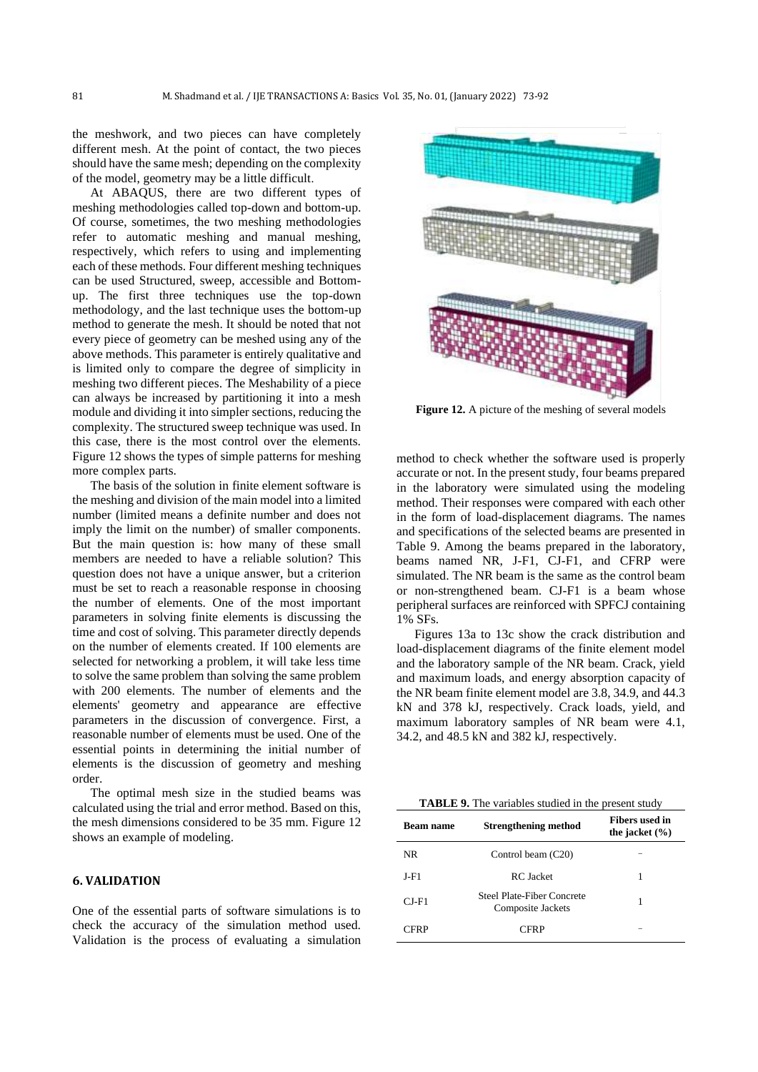the meshwork, and two pieces can have completely different mesh. At the point of contact, the two pieces should have the same mesh; depending on the complexity of the model, geometry may be a little difficult.

At ABAQUS, there are two different types of meshing methodologies called top-down and bottom-up. Of course, sometimes, the two meshing methodologies refer to automatic meshing and manual meshing, respectively, which refers to using and implementing each of these methods. Four different meshing techniques can be used Structured, sweep, accessible and Bottomup. The first three techniques use the top-down methodology, and the last technique uses the bottom-up method to generate the mesh. It should be noted that not every piece of geometry can be meshed using any of the above methods. This parameter is entirely qualitative and is limited only to compare the degree of simplicity in meshing two different pieces. The Meshability of a piece can always be increased by partitioning it into a mesh module and dividing it into simpler sections, reducing the complexity. The structured sweep technique was used. In this case, there is the most control over the elements. Figure 12 shows the types of simple patterns for meshing more complex parts.

The basis of the solution in finite element software is the meshing and division of the main model into a limited number (limited means a definite number and does not imply the limit on the number) of smaller components. But the main question is: how many of these small members are needed to have a reliable solution? This question does not have a unique answer, but a criterion must be set to reach a reasonable response in choosing the number of elements. One of the most important parameters in solving finite elements is discussing the time and cost of solving. This parameter directly depends on the number of elements created. If 100 elements are selected for networking a problem, it will take less time to solve the same problem than solving the same problem with 200 elements. The number of elements and the elements' geometry and appearance are effective parameters in the discussion of convergence. First, a reasonable number of elements must be used. One of the essential points in determining the initial number of elements is the discussion of geometry and meshing order.

The optimal mesh size in the studied beams was calculated using the trial and error method. Based on this, the mesh dimensions considered to be 35 mm. Figure 12 shows an example of modeling.

## **6. VALIDATION**

One of the essential parts of software simulations is to check the accuracy of the simulation method used. Validation is the process of evaluating a simulation



**Figure 12.** A picture of the meshing of several models

method to check whether the software used is properly accurate or not. In the present study, four beams prepared in the laboratory were simulated using the modeling method. Their responses were compared with each other in the form of load-displacement diagrams. The names and specifications of the selected beams are presented in Table 9. Among the beams prepared in the laboratory, beams named NR, J-F1, CJ-F1, and CFRP were simulated. The NR beam is the same as the control beam or non-strengthened beam. CJ-F1 is a beam whose peripheral surfaces are reinforced with SPFCJ containing 1% SFs.

Figures 13a to 13c show the crack distribution and load-displacement diagrams of the finite element model and the laboratory sample of the NR beam. Crack, yield and maximum loads, and energy absorption capacity of the NR beam finite element model are 3.8, 34.9, and 44.3 kN and 378 kJ, respectively. Crack loads, yield, and maximum laboratory samples of NR beam were 4.1, 34.2, and 48.5 kN and 382 kJ, respectively.

| <b>TABLE 9.</b> The variables studied in the present study |
|------------------------------------------------------------|
|------------------------------------------------------------|

| <b>Beam name</b> | <b>Strengthening method</b>                     | Fibers used in<br>the jacket $(\% )$ |
|------------------|-------------------------------------------------|--------------------------------------|
| NR.              | Control beam (C20)                              |                                      |
| J-F1             | RC Jacket                                       |                                      |
| $CL$ F1          | Steel Plate-Fiber Concrete<br>Composite Jackets | 1                                    |
| CFRP             | CFRP                                            |                                      |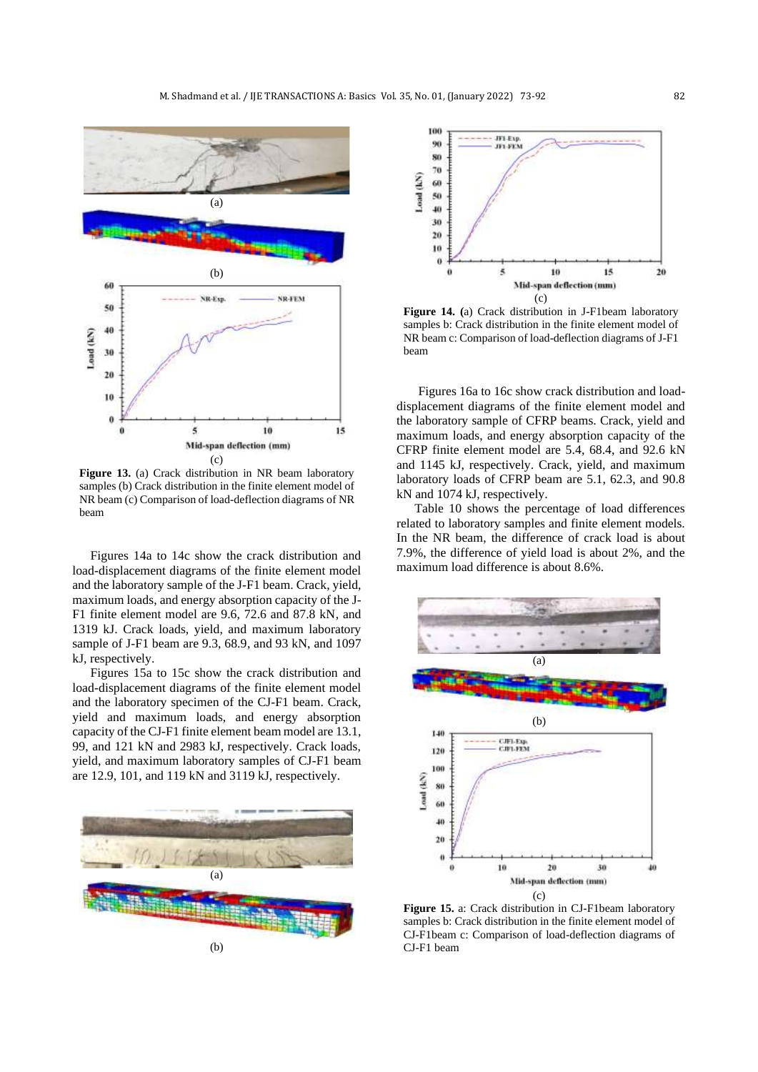

**Figure 13.** (a) Crack distribution in NR beam laboratory samples (b) Crack distribution in the finite element model of NR beam (c) Comparison of load-deflection diagrams of NR beam

Figures 14a to 14c show the crack distribution and load-displacement diagrams of the finite element model and the laboratory sample of the J-F1 beam. Crack, yield, maximum loads, and energy absorption capacity of the J-F1 finite element model are 9.6, 72.6 and 87.8 kN, and 1319 kJ. Crack loads, yield, and maximum laboratory sample of J-F1 beam are 9.3, 68.9, and 93 kN, and 1097 kJ, respectively.

Figures 15a to 15c show the crack distribution and load-displacement diagrams of the finite element model and the laboratory specimen of the CJ-F1 beam. Crack, yield and maximum loads, and energy absorption capacity of the CJ-F1 finite element beam model are 13.1, 99, and 121 kN and 2983 kJ, respectively. Crack loads, yield, and maximum laboratory samples of CJ-F1 beam are 12.9, 101, and 119 kN and 3119 kJ, respectively.





**Figure 14. (**a) Crack distribution in J-F1beam laboratory samples b: Crack distribution in the finite element model of NR beam c: Comparison of load-deflection diagrams of J-F1 beam

Figures 16a to 16c show crack distribution and loaddisplacement diagrams of the finite element model and the laboratory sample of CFRP beams. Crack, yield and maximum loads, and energy absorption capacity of the CFRP finite element model are 5.4, 68.4, and 92.6 kN and 1145 kJ, respectively. Crack, yield, and maximum laboratory loads of CFRP beam are 5.1, 62.3, and 90.8 kN and 1074 kJ, respectively.

Table 10 shows the percentage of load differences related to laboratory samples and finite element models. In the NR beam, the difference of crack load is about 7.9%, the difference of yield load is about 2%, and the maximum load difference is about 8.6%.



**Figure 15.** a: Crack distribution in CJ-F1beam laboratory samples b: Crack distribution in the finite element model of CJ-F1beam c: Comparison of load-deflection diagrams of CJ-F1 beam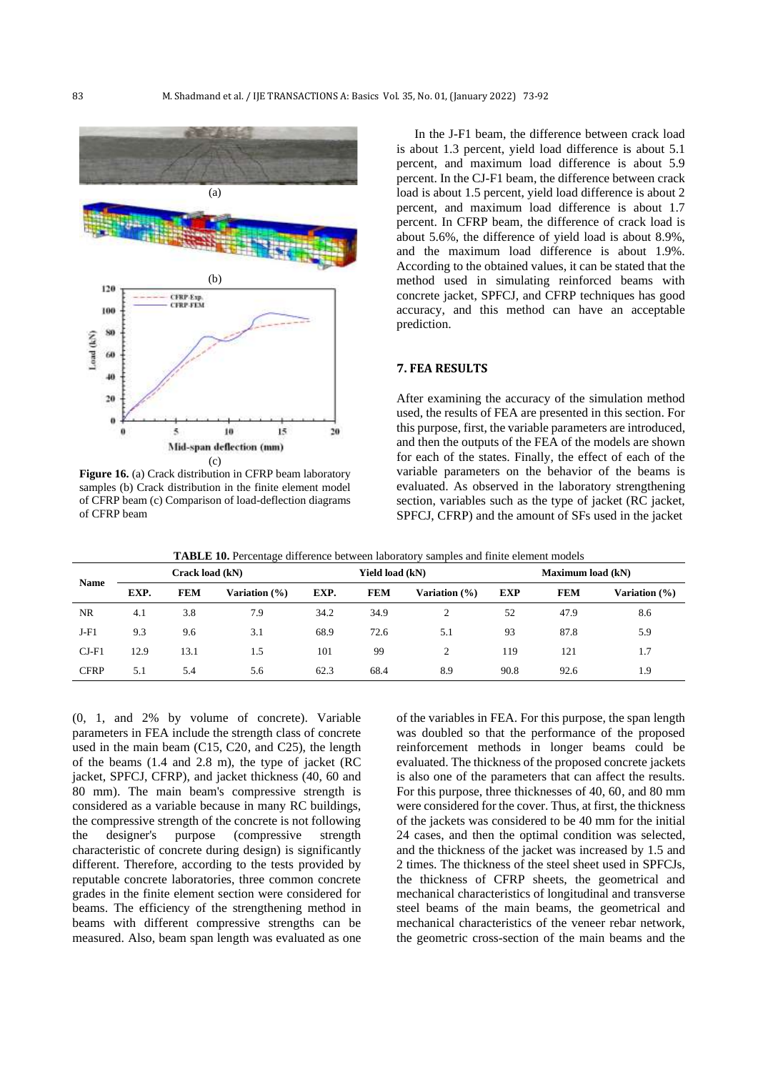

**Figure 16.** (a) Crack distribution in CFRP beam laboratory samples (b) Crack distribution in the finite element model of CFRP beam (c) Comparison of load-deflection diagrams of CFRP beam

In the J-F1 beam, the difference between crack load is about 1.3 percent, yield load difference is about 5.1 percent, and maximum load difference is about 5.9 percent. In the CJ-F1 beam, the difference between crack load is about 1.5 percent, yield load difference is about 2 percent, and maximum load difference is about 1.7 percent. In CFRP beam, the difference of crack load is about 5.6%, the difference of yield load is about 8.9%, and the maximum load difference is about 1.9%. According to the obtained values, it can be stated that the method used in simulating reinforced beams with concrete jacket, SPFCJ, and CFRP techniques has good accuracy, and this method can have an acceptable prediction.

## **7. FEA RESULTS**

After examining the accuracy of the simulation method used, the results of FEA are presented in this section. For this purpose, first, the variable parameters are introduced, and then the outputs of the FEA of the models are shown for each of the states. Finally, the effect of each of the variable parameters on the behavior of the beams is evaluated. As observed in the laboratory strengthening section, variables such as the type of jacket (RC jacket, SPFCJ, CFRP) and the amount of SFs used in the jacket

|--|

| <b>Name</b> | Crack load (kN) |            |               | Yield load (kN) |            |               | <b>Maximum load (kN)</b> |            |               |
|-------------|-----------------|------------|---------------|-----------------|------------|---------------|--------------------------|------------|---------------|
|             | EXP.            | <b>FEM</b> | Variation (%) | EXP.            | <b>FEM</b> | Variation (%) | <b>EXP</b>               | <b>FEM</b> | Variation (%) |
| <b>NR</b>   | 4.1             | 3.8        | 7.9           | 34.2            | 34.9       | 2             | 52                       | 47.9       | 8.6           |
| $J-F1$      | 9.3             | 9.6        | 3.1           | 68.9            | 72.6       | 5.1           | 93                       | 87.8       | 5.9           |
| $CI-F1$     | 12.9            | 13.1       | 1.5           | 101             | 99         | 2             | 119                      | 121        | 1.7           |
| <b>CFRP</b> | 5.1             | 5.4        | 5.6           | 62.3            | 68.4       | 8.9           | 90.8                     | 92.6       | 1.9           |

(0, 1, and 2% by volume of concrete). Variable parameters in FEA include the strength class of concrete used in the main beam (C15, C20, and C25), the length of the beams (1.4 and 2.8 m), the type of jacket (RC jacket, SPFCJ, CFRP), and jacket thickness (40, 60 and 80 mm). The main beam's compressive strength is considered as a variable because in many RC buildings, the compressive strength of the concrete is not following the designer's purpose (compressive strength characteristic of concrete during design) is significantly different. Therefore, according to the tests provided by reputable concrete laboratories, three common concrete grades in the finite element section were considered for beams. The efficiency of the strengthening method in beams with different compressive strengths can be measured. Also, beam span length was evaluated as one

of the variables in FEA. For this purpose, the span length was doubled so that the performance of the proposed reinforcement methods in longer beams could be evaluated. The thickness of the proposed concrete jackets is also one of the parameters that can affect the results. For this purpose, three thicknesses of 40, 60, and 80 mm were considered for the cover. Thus, at first, the thickness of the jackets was considered to be 40 mm for the initial 24 cases, and then the optimal condition was selected, and the thickness of the jacket was increased by 1.5 and 2 times. The thickness of the steel sheet used in SPFCJs, the thickness of CFRP sheets, the geometrical and mechanical characteristics of longitudinal and transverse steel beams of the main beams, the geometrical and mechanical characteristics of the veneer rebar network, the geometric cross-section of the main beams and the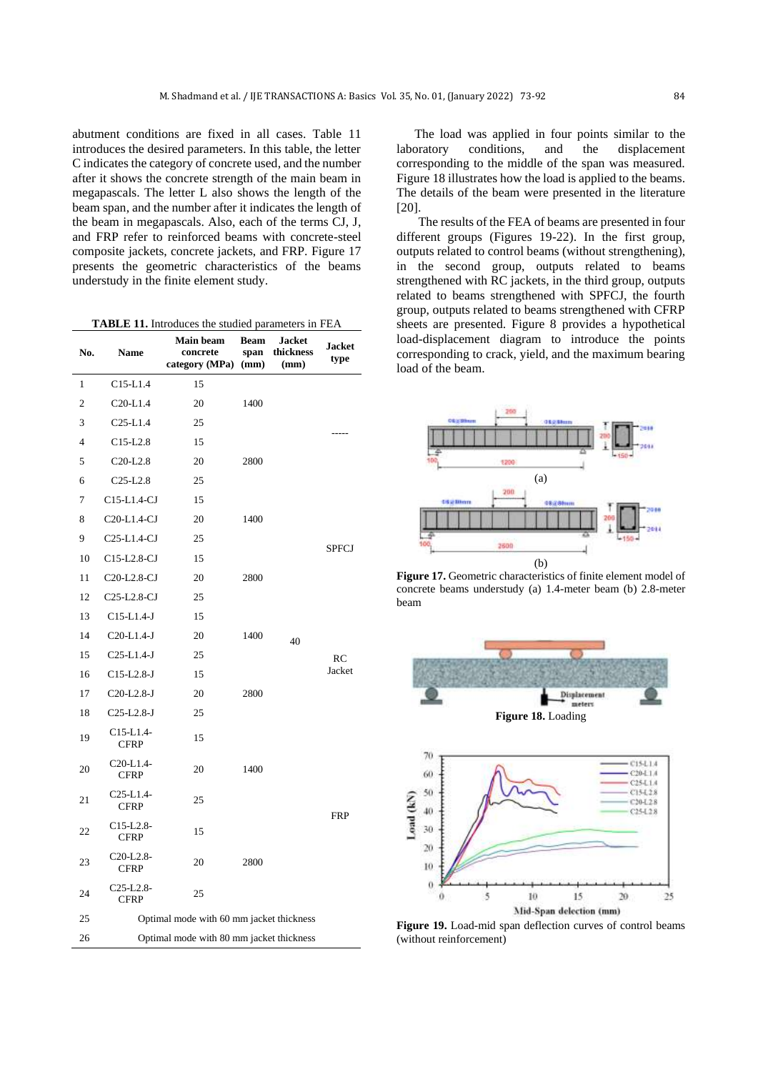abutment conditions are fixed in all cases. Table 11 introduces the desired parameters. In this table, the letter C indicates the category of concrete used, and the number after it shows the concrete strength of the main beam in megapascals. The letter L also shows the length of the beam span, and the number after it indicates the length of the beam in megapascals. Also, each of the terms CJ, J, and FRP refer to reinforced beams with concrete-steel composite jackets, concrete jackets, and FRP. Figure 17 presents the geometric characteristics of the beams understudy in the finite element study.

|  |  | <b>TABLE 11.</b> Introduces the studied parameters in FEA |  |
|--|--|-----------------------------------------------------------|--|
|--|--|-----------------------------------------------------------|--|

| No.            | Name                                               | Main beam<br>concrete<br>category (MPa) | <b>Beam</b><br>span<br>(mm) | <b>Jacket</b><br>thickness<br>(mm) | <b>Jacket</b><br>type |  |  |  |
|----------------|----------------------------------------------------|-----------------------------------------|-----------------------------|------------------------------------|-----------------------|--|--|--|
| 1              | $C15-L1.4$                                         | 15                                      |                             |                                    |                       |  |  |  |
| $\overline{c}$ | $C20-L1.4$                                         | 20                                      | 1400                        |                                    |                       |  |  |  |
| 3              | $C25-L1.4$                                         | 25                                      |                             |                                    |                       |  |  |  |
| $\overline{4}$ | $C15-L2.8$                                         | 15                                      |                             |                                    |                       |  |  |  |
| 5              | C <sub>20</sub> -L <sub>2.8</sub>                  | 20                                      | 2800                        |                                    |                       |  |  |  |
| 6              | $C25-L2.8$                                         | 25                                      |                             |                                    |                       |  |  |  |
| 7              | C15-L1.4-CJ                                        | 15                                      |                             |                                    |                       |  |  |  |
| 8              | C20-L1.4-CJ                                        | 20                                      | 1400                        |                                    |                       |  |  |  |
| 9              | C <sub>25</sub> -L <sub>1</sub> .4-CJ              | 25                                      |                             |                                    | <b>SPFCJ</b>          |  |  |  |
| 10             | C <sub>15</sub> -L <sub>2</sub> .8-CJ              | 15                                      |                             |                                    |                       |  |  |  |
| 11             | C20-L2.8-CJ                                        | 20                                      | 2800                        |                                    |                       |  |  |  |
| 12             | C <sub>25</sub> -L <sub>2</sub> .8-CJ              | 25                                      |                             |                                    |                       |  |  |  |
| 13             | $C15-L1.4-J$                                       | 15                                      |                             |                                    |                       |  |  |  |
| 14             | $C20-L1.4-J$                                       | 20                                      | 1400                        | 40                                 |                       |  |  |  |
| 15             | $C25-L1.4-J$                                       | 25                                      |                             |                                    | RC                    |  |  |  |
| 16             | C15-L2.8-J                                         | 15                                      |                             |                                    | Jacket                |  |  |  |
| 17             | $C20-L2.8-J$                                       | 20                                      | 2800                        |                                    |                       |  |  |  |
| 18             | $C25-L2.8-J$                                       | 25                                      |                             |                                    |                       |  |  |  |
| 19             | $C15-L1.4-$<br><b>CFRP</b>                         | 15                                      |                             |                                    |                       |  |  |  |
| 20             | C20-L1.4-<br><b>CFRP</b>                           | 20                                      | 1400                        |                                    |                       |  |  |  |
| 21             | C <sub>25</sub> -L <sub>1</sub> .4-<br><b>CFRP</b> | 25                                      |                             |                                    |                       |  |  |  |
| 22             | $C15-L2.8-$<br><b>CFRP</b>                         | 15                                      |                             |                                    | <b>FRP</b>            |  |  |  |
| 23             | C20-L2.8-<br><b>CFRP</b>                           | 20                                      | 2800                        |                                    |                       |  |  |  |
| 24             | $C25-L2.8-$<br><b>CFRP</b>                         | 25                                      |                             |                                    |                       |  |  |  |
| 25             | Optimal mode with 60 mm jacket thickness           |                                         |                             |                                    |                       |  |  |  |
| 26             | Optimal mode with 80 mm jacket thickness           |                                         |                             |                                    |                       |  |  |  |

The load was applied in four points similar to the laboratory conditions, and the displacement corresponding to the middle of the span was measured. Figure 18 illustrates how the load is applied to the beams. The details of the beam were presented in the literature [20].

The results of the FEA of beams are presented in four different groups (Figures 19-22). In the first group, outputs related to control beams (without strengthening), in the second group, outputs related to beams strengthened with RC jackets, in the third group, outputs related to beams strengthened with SPFCJ, the fourth group, outputs related to beams strengthened with CFRP sheets are presented. Figure 8 provides a hypothetical load-displacement diagram to introduce the points corresponding to crack, yield, and the maximum bearing load of the beam.



**Figure 17.** Geometric characteristics of finite element model of concrete beams understudy (a) 1.4-meter beam (b) 2.8-meter beam





**Figure 19.** Load-mid span deflection curves of control beams (without reinforcement)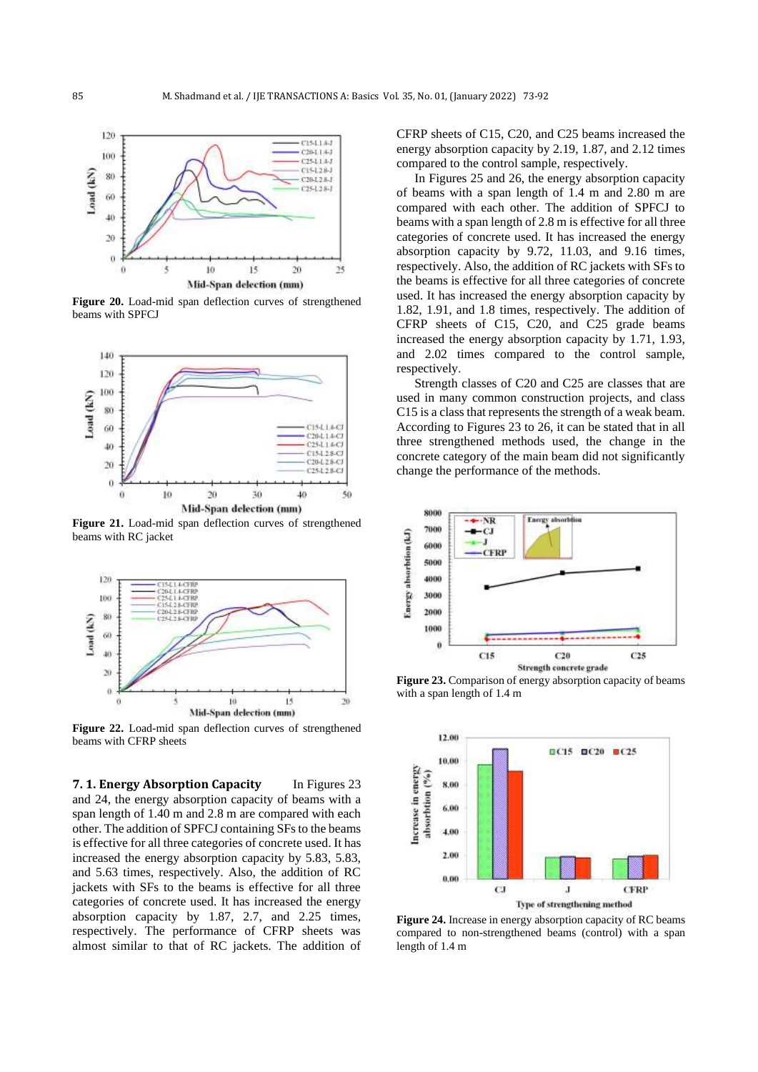

**Figure 20.** Load-mid span deflection curves of strengthened beams with SPFCJ



**Figure 21.** Load-mid span deflection curves of strengthened beams with RC jacket



**Figure 22.** Load-mid span deflection curves of strengthened beams with CFRP sheets

**7. 1. Energy Absorption Capacity** In Figures 23 and 24, the energy absorption capacity of beams with a span length of 1.40 m and 2.8 m are compared with each other. The addition of SPFCJ containing SFs to the beams is effective for all three categories of concrete used. It has increased the energy absorption capacity by 5.83, 5.83, and 5.63 times, respectively. Also, the addition of RC jackets with SFs to the beams is effective for all three categories of concrete used. It has increased the energy absorption capacity by 1.87, 2.7, and 2.25 times, respectively. The performance of CFRP sheets was almost similar to that of RC jackets. The addition of CFRP sheets of C15, C20, and C25 beams increased the energy absorption capacity by 2.19, 1.87, and 2.12 times compared to the control sample, respectively.

In Figures 25 and 26, the energy absorption capacity of beams with a span length of 1.4 m and 2.80 m are compared with each other. The addition of SPFCJ to beams with a span length of 2.8 m is effective for all three categories of concrete used. It has increased the energy absorption capacity by 9.72, 11.03, and 9.16 times, respectively. Also, the addition of RC jackets with SFs to the beams is effective for all three categories of concrete used. It has increased the energy absorption capacity by 1.82, 1.91, and 1.8 times, respectively. The addition of CFRP sheets of C15, C20, and C25 grade beams increased the energy absorption capacity by 1.71, 1.93, and 2.02 times compared to the control sample, respectively.

Strength classes of C20 and C25 are classes that are used in many common construction projects, and class C15 is a class that represents the strength of a weak beam. According to Figures 23 to 26, it can be stated that in all three strengthened methods used, the change in the concrete category of the main beam did not significantly change the performance of the methods.



**Figure 23.** Comparison of energy absorption capacity of beams with a span length of 1.4 m



**Figure 24.** Increase in energy absorption capacity of RC beams compared to non-strengthened beams (control) with a span length of 1.4 m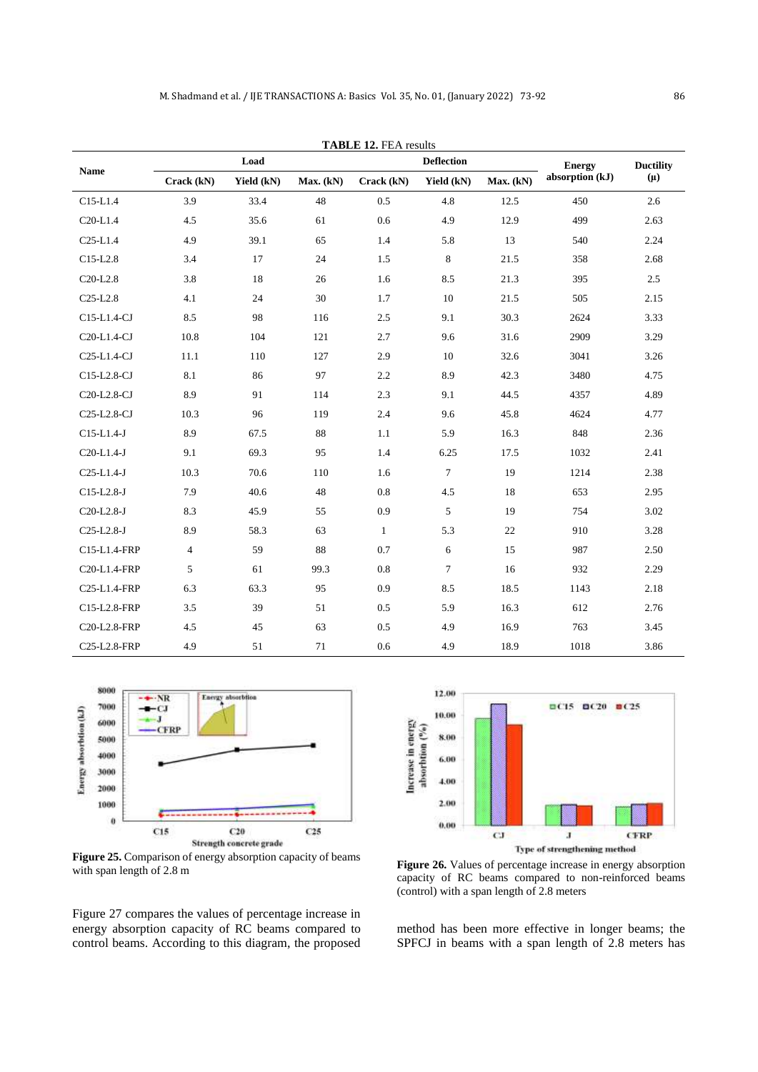| <b>TABLE 12. FEA results</b>           |                |            |           |                   |            |           |                 |                  |  |
|----------------------------------------|----------------|------------|-----------|-------------------|------------|-----------|-----------------|------------------|--|
| <b>Name</b>                            | Load           |            |           | <b>Deflection</b> |            |           | <b>Energy</b>   | <b>Ductility</b> |  |
|                                        | Crack (kN)     | Yield (kN) | Max. (kN) | Crack (kN)        | Yield (kN) | Max. (kN) | absorption (kJ) | $(\mu)$          |  |
| $C15-L1.4$                             | 3.9            | 33.4       | 48        | 0.5               | 4.8        | 12.5      | 450             | 2.6              |  |
| $C20-L1.4$                             | 4.5            | 35.6       | 61        | 0.6               | 4.9        | 12.9      | 499             | 2.63             |  |
| $C25-L1.4$                             | 4.9            | 39.1       | 65        | 1.4               | 5.8        | 13        | 540             | 2.24             |  |
| $C15-L2.8$                             | 3.4            | 17         | 24        | 1.5               | 8          | 21.5      | 358             | 2.68             |  |
| C <sub>20</sub> -L <sub>2.8</sub>      | 3.8            | 18         | 26        | 1.6               | 8.5        | 21.3      | 395             | 2.5              |  |
| $C25-L2.8$                             | 4.1            | 24         | 30        | 1.7               | 10         | 21.5      | 505             | 2.15             |  |
| C15-L1.4-CJ                            | 8.5            | 98         | 116       | 2.5               | 9.1        | 30.3      | 2624            | 3.33             |  |
| C20-L1.4-CJ                            | 10.8           | 104        | 121       | 2.7               | 9.6        | 31.6      | 2909            | 3.29             |  |
| C <sub>25</sub> -L <sub>1</sub> .4-CJ  | 11.1           | 110        | 127       | 2.9               | 10         | 32.6      | 3041            | 3.26             |  |
| C15-L2.8-CJ                            | 8.1            | 86         | 97        | 2.2               | 8.9        | 42.3      | 3480            | 4.75             |  |
| C20-L2.8-CJ                            | 8.9            | 91         | 114       | 2.3               | 9.1        | 44.5      | 4357            | 4.89             |  |
| C <sub>25</sub> -L <sub>2</sub> .8-CJ  | 10.3           | 96         | 119       | 2.4               | 9.6        | 45.8      | 4624            | 4.77             |  |
| $C15-L1.4-J$                           | 8.9            | 67.5       | 88        | 1.1               | 5.9        | 16.3      | 848             | 2.36             |  |
| $C20-L1.4-J$                           | 9.1            | 69.3       | 95        | 1.4               | 6.25       | 17.5      | 1032            | 2.41             |  |
| $C25-L1.4-J$                           | 10.3           | 70.6       | 110       | 1.6               | $\tau$     | 19        | 1214            | 2.38             |  |
| $C15-L2.8-J$                           | 7.9            | 40.6       | 48        | 0.8               | 4.5        | 18        | 653             | 2.95             |  |
| C20-L2.8-J                             | 8.3            | 45.9       | 55        | 0.9               | 5          | 19        | 754             | 3.02             |  |
| $C25-L2.8-J$                           | 8.9            | 58.3       | 63        | $\mathbf{1}$      | 5.3        | $22\,$    | 910             | 3.28             |  |
| C15-L1.4-FRP                           | $\overline{4}$ | 59         | 88        | 0.7               | 6          | 15        | 987             | 2.50             |  |
| C20-L1.4-FRP                           | 5              | 61         | 99.3      | 0.8               | $\tau$     | 16        | 932             | 2.29             |  |
| C <sub>25</sub> -L <sub>1</sub> .4-FRP | 6.3            | 63.3       | 95        | 0.9               | 8.5        | 18.5      | 1143            | 2.18             |  |
| C15-L2.8-FRP                           | 3.5            | 39         | 51        | 0.5               | 5.9        | 16.3      | 612             | 2.76             |  |
| C20-L2.8-FRP                           | 4.5            | 45         | 63        | 0.5               | 4.9        | 16.9      | 763             | 3.45             |  |
| C25-L2.8-FRP                           | 4.9            | 51         | 71        | 0.6               | 4.9        | 18.9      | 1018            | 3.86             |  |

8000 ·NR Energy absorbtion 7000 Energy absorbtion (kJ)  $\epsilon$ 6000 **CFR** 5000 4000 3000 2000 1000  $\theta$  $C15$  $C20$  $C<sub>25</sub>$ Strength concrete grade

**Figure 25.** Comparison of energy absorption capacity of beams with span length of 2.8 m

Figure 27 compares the values of percentage increase in energy absorption capacity of RC beams compared to control beams. According to this diagram, the proposed



**Figure 26.** Values of percentage increase in energy absorption capacity of RC beams compared to non-reinforced beams (control) with a span length of 2.8 meters

method has been more effective in longer beams; the SPFCJ in beams with a span length of 2.8 meters has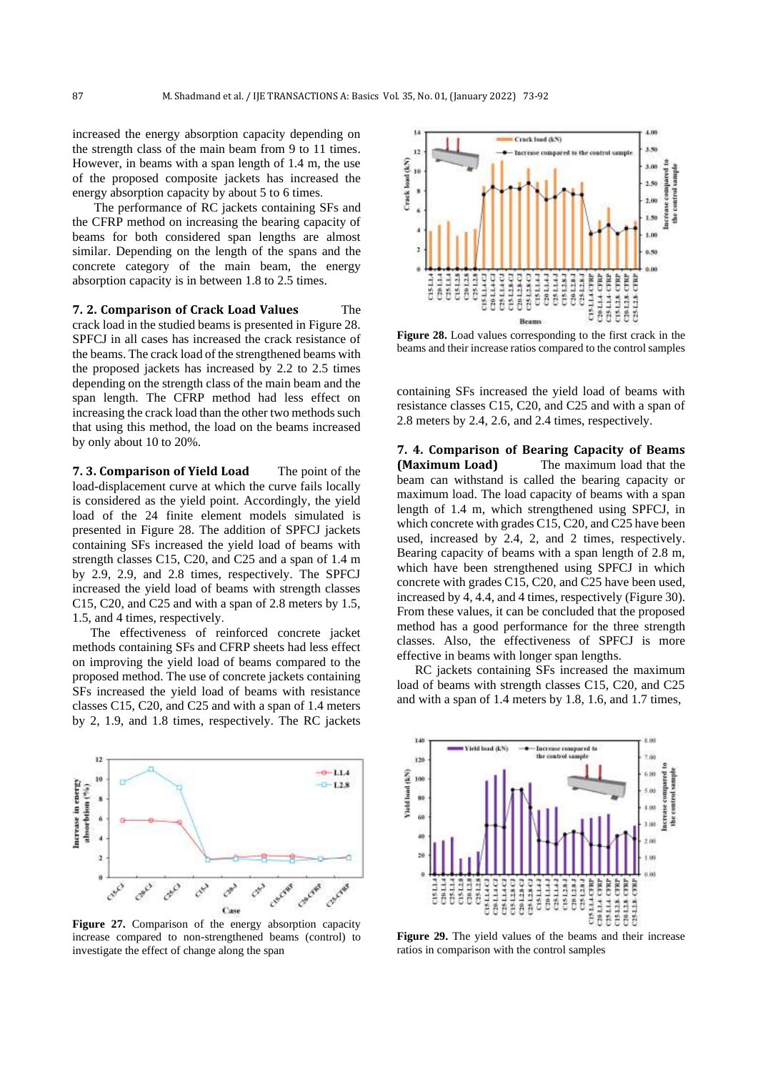increased the energy absorption capacity depending on the strength class of the main beam from 9 to 11 times. However, in beams with a span length of 1.4 m, the use of the proposed composite jackets has increased the energy absorption capacity by about 5 to 6 times.

The performance of RC jackets containing SFs and the CFRP method on increasing the bearing capacity of beams for both considered span lengths are almost similar. Depending on the length of the spans and the concrete category of the main beam, the energy absorption capacity is in between 1.8 to 2.5 times.

**7. 2. Comparison of Crack Load Values** The crack load in the studied beams is presented in Figure 28. SPFCJ in all cases has increased the crack resistance of the beams. The crack load of the strengthened beams with the proposed jackets has increased by 2.2 to 2.5 times depending on the strength class of the main beam and the span length. The CFRP method had less effect on increasing the crack load than the other two methods such that using this method, the load on the beams increased by only about 10 to 20%.

**7. 3. Comparison of Yield Load** The point of the load-displacement curve at which the curve fails locally is considered as the yield point. Accordingly, the yield load of the 24 finite element models simulated is presented in Figure 28. The addition of SPFCJ jackets containing SFs increased the yield load of beams with strength classes C15, C20, and C25 and a span of 1.4 m by 2.9, 2.9, and 2.8 times, respectively. The SPFCJ increased the yield load of beams with strength classes C15, C20, and C25 and with a span of 2.8 meters by 1.5, 1.5, and 4 times, respectively.

The effectiveness of reinforced concrete jacket methods containing SFs and CFRP sheets had less effect on improving the yield load of beams compared to the proposed method. The use of concrete jackets containing SFs increased the yield load of beams with resistance classes C15, C20, and C25 and with a span of 1.4 meters by 2, 1.9, and 1.8 times, respectively. The RC jackets



**Figure 27.** Comparison of the energy absorption capacity increase compared to non-strengthened beams (control) to investigate the effect of change along the span



**Figure 28.** Load values corresponding to the first crack in the beams and their increase ratios compared to the control samples

containing SFs increased the yield load of beams with resistance classes C15, C20, and C25 and with a span of 2.8 meters by 2.4, 2.6, and 2.4 times, respectively.

**7. 4. Comparison of Bearing Capacity of Beams (Maximum Load)** The maximum load that the beam can withstand is called the bearing capacity or maximum load. The load capacity of beams with a span length of 1.4 m, which strengthened using SPFCJ, in which concrete with grades C15, C20, and C25 have been used, increased by 2.4, 2, and 2 times, respectively. Bearing capacity of beams with a span length of 2.8 m, which have been strengthened using SPFCJ in which concrete with grades C15, C20, and C25 have been used, increased by 4, 4.4, and 4 times, respectively (Figure 30). From these values, it can be concluded that the proposed method has a good performance for the three strength classes. Also, the effectiveness of SPFCJ is more effective in beams with longer span lengths.

RC jackets containing SFs increased the maximum load of beams with strength classes C15, C20, and C25 and with a span of 1.4 meters by 1.8, 1.6, and 1.7 times,



**Figure 29.** The yield values of the beams and their increase ratios in comparison with the control samples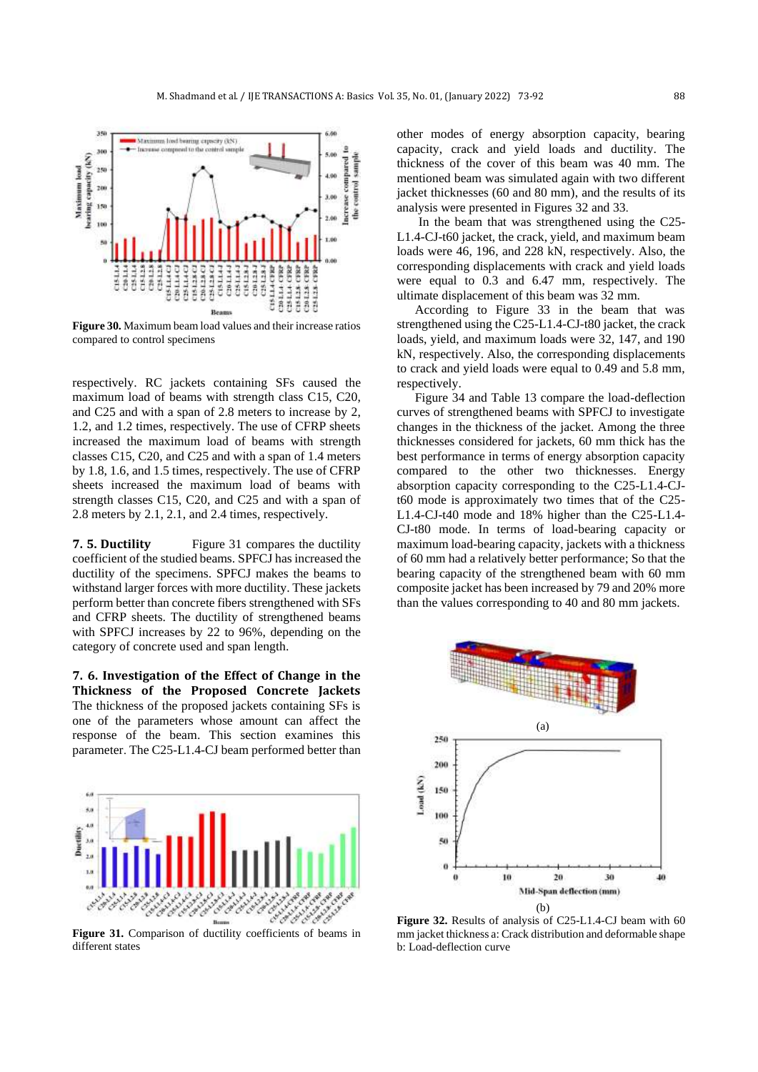

**Figure 30.** Maximum beam load values and their increase ratios compared to control specimens

respectively. RC jackets containing SFs caused the maximum load of beams with strength class C15, C20, and C25 and with a span of 2.8 meters to increase by 2, 1.2, and 1.2 times, respectively. The use of CFRP sheets increased the maximum load of beams with strength classes C15, C20, and C25 and with a span of 1.4 meters by 1.8, 1.6, and 1.5 times, respectively. The use of CFRP sheets increased the maximum load of beams with strength classes C15, C20, and C25 and with a span of 2.8 meters by 2.1, 2.1, and 2.4 times, respectively.

**7. 5. Ductility** Figure 31 compares the ductility coefficient of the studied beams. SPFCJ has increased the ductility of the specimens. SPFCJ makes the beams to withstand larger forces with more ductility. These jackets perform better than concrete fibers strengthened with SFs and CFRP sheets. The ductility of strengthened beams with SPFCJ increases by 22 to 96%, depending on the category of concrete used and span length.

**7. 6. Investigation of the Effect of Change in the Thickness of the Proposed Concrete Jackets**  The thickness of the proposed jackets containing SFs is one of the parameters whose amount can affect the response of the beam. This section examines this parameter. The C25-L1.4-CJ beam performed better than



Figure 31. Comparison of ductility coefficients of beams in different states

other modes of energy absorption capacity, bearing capacity, crack and yield loads and ductility. The thickness of the cover of this beam was 40 mm. The mentioned beam was simulated again with two different jacket thicknesses (60 and 80 mm), and the results of its analysis were presented in Figures 32 and 33 .

In the beam that was strengthened using the C25- L1.4-CJ-t60 jacket, the crack, yield, and maximum beam loads were 46, 196, and 228 kN, respectively. Also, the corresponding displacements with crack and yield loads were equal to 0.3 and 6.47 mm, respectively. The ultimate displacement of this beam was 32 mm.

According to Figure 33 in the beam that was strengthened using the C25-L1.4-CJ-t80 jacket, the crack loads, yield, and maximum loads were 32, 147, and 190 kN, respectively. Also, the corresponding displacements to crack and yield loads were equal to 0.49 and 5.8 mm, respectively.

Figure 34 and Table 13 compare the load-deflection curves of strengthened beams with SPFCJ to investigate changes in the thickness of the jacket. Among the three thicknesses considered for jackets, 60 mm thick has the best performance in terms of energy absorption capacity compared to the other two thicknesses. Energy absorption capacity corresponding to the C25-L1.4-CJt60 mode is approximately two times that of the C25- L1.4-CJ-t40 mode and 18% higher than the C25-L1.4- CJ-t80 mode. In terms of load-bearing capacity or maximum load-bearing capacity, jackets with a thickness of 60 mm had a relatively better performance; So that the bearing capacity of the strengthened beam with 60 mm composite jacket has been increased by 79 and 20% more than the values corresponding to 40 and 80 mm jackets.



**Figure 32.** Results of analysis of C25-L1.4-CJ beam with 60 mm jacket thickness a: Crack distribution and deformable shape b: Load-deflection curve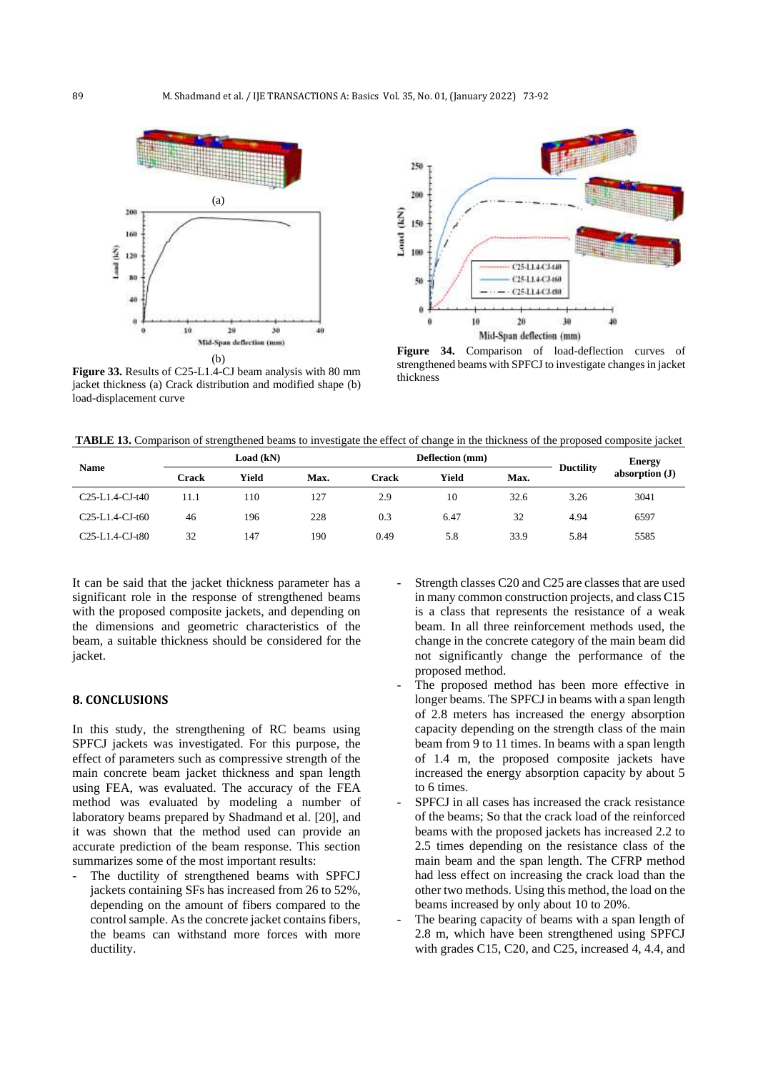

**Figure 33.** Results of C25-L1.4-CJ beam analysis with 80 mm jacket thickness (a) Crack distribution and modified shape (b) load-displacement curve



**Figure 34.** Comparison of load-deflection curves of strengthened beams with SPFCJ to investigate changes in jacket thickness

**TABLE 13.** Comparison of strengthened beams to investigate the effect of change in the thickness of the proposed composite jacket

|                   | Load (kN) |       |      | Deflection (mm) |       |      | <b>Ductility</b> | <b>Energy</b>    |
|-------------------|-----------|-------|------|-----------------|-------|------|------------------|------------------|
| <b>Name</b>       | Crack     | Yield | Max. | Crack           | Yield | Max. |                  | absorption $(J)$ |
| $C25-L1.4-CJ-t40$ | 11.1      | 110   | 127  | 2.9             | 10    | 32.6 | 3.26             | 3041             |
| $C25-L1.4-CJ-t60$ | 46        | 196   | 228  | 0.3             | 6.47  | 32   | 4.94             | 6597             |
| $C25-L1.4-CJ-t80$ | 32        | 147   | 190  | 0.49            | 5.8   | 33.9 | 5.84             | 5585             |

It can be said that the jacket thickness parameter has a significant role in the response of strengthened beams with the proposed composite jackets, and depending on the dimensions and geometric characteristics of the beam, a suitable thickness should be considered for the jacket.

## **8. CONCLUSIONS**

In this study, the strengthening of RC beams using SPFCJ jackets was investigated. For this purpose, the effect of parameters such as compressive strength of the main concrete beam jacket thickness and span length using FEA, was evaluated. The accuracy of the FEA method was evaluated by modeling a number of laboratory beams prepared by Shadmand et al. [20], and it was shown that the method used can provide an accurate prediction of the beam response. This section summarizes some of the most important results:

The ductility of strengthened beams with SPFCJ jackets containing SFs has increased from 26 to 52%, depending on the amount of fibers compared to the control sample. As the concrete jacket contains fibers, the beams can withstand more forces with more ductility.

- Strength classes C20 and C25 are classes that are used in many common construction projects, and class C15 is a class that represents the resistance of a weak beam. In all three reinforcement methods used, the change in the concrete category of the main beam did not significantly change the performance of the proposed method.
- The proposed method has been more effective in longer beams. The SPFCJ in beams with a span length of 2.8 meters has increased the energy absorption capacity depending on the strength class of the main beam from 9 to 11 times. In beams with a span length of 1.4 m, the proposed composite jackets have increased the energy absorption capacity by about 5 to 6 times.
- SPFCJ in all cases has increased the crack resistance of the beams; So that the crack load of the reinforced beams with the proposed jackets has increased 2.2 to 2.5 times depending on the resistance class of the main beam and the span length. The CFRP method had less effect on increasing the crack load than the other two methods. Using this method, the load on the beams increased by only about 10 to 20% .
- The bearing capacity of beams with a span length of 2.8 m, which have been strengthened using SPFCJ with grades C15, C20, and C25, increased 4, 4.4, and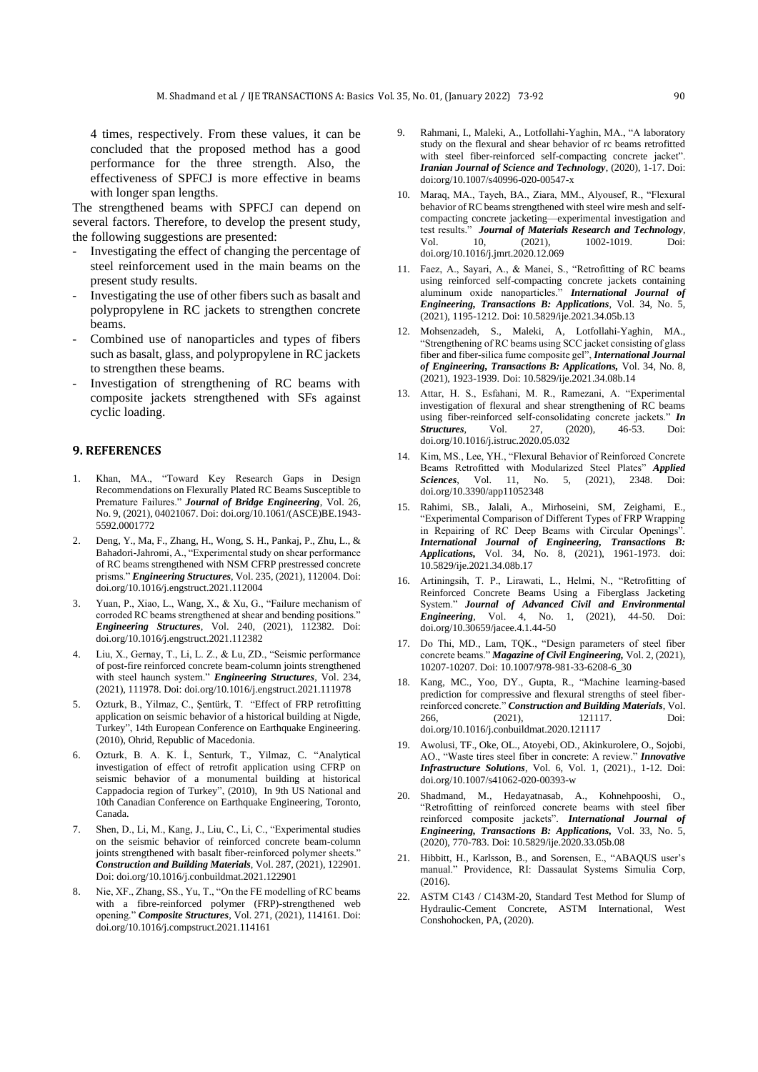4 times, respectively. From these values, it can be concluded that the proposed method has a good performance for the three strength. Also, the effectiveness of SPFCJ is more effective in beams with longer span lengths.

The strengthened beams with SPFCJ can depend on several factors. Therefore, to develop the present study, the following suggestions are presented:

- Investigating the effect of changing the percentage of steel reinforcement used in the main beams on the present study results.
- Investigating the use of other fibers such as basalt and polypropylene in RC jackets to strengthen concrete beams.
- Combined use of nanoparticles and types of fibers such as basalt, glass, and polypropylene in RC jackets to strengthen these beams.
- Investigation of strengthening of RC beams with composite jackets strengthened with SFs against cyclic loading.

## **9. REFERENCES**

- 1. Khan, MA., "Toward Key Research Gaps in Design Recommendations on Flexurally Plated RC Beams Susceptible to Premature Failures." *Journal of Bridge Engineering*, Vol. 26, No. 9, (2021), 04021067. Doi: doi.org/10.1061/(ASCE)BE.1943- 5592.0001772
- 2. Deng, Y., Ma, F., Zhang, H., Wong, S. H., Pankaj, P., Zhu, L., & Bahadori-Jahromi, A., "Experimental study on shear performance of RC beams strengthened with NSM CFRP prestressed concrete prisms." *Engineering Structures*, Vol. 235, (2021), 112004. Doi: doi.org/10.1016/j.engstruct.2021.112004
- 3. Yuan, P., Xiao, L., Wang, X., & Xu, G., "Failure mechanism of corroded RC beams strengthened at shear and bending positions." *Engineering Structures*, Vol. 240, (2021), 112382. Doi: doi.org/10.1016/j.engstruct.2021.112382
- 4. Liu, X., Gernay, T., Li, L. Z., & Lu, ZD., "Seismic performance of post-fire reinforced concrete beam-column joints strengthened with steel haunch system." *Engineering Structures*, Vol. 234, (2021), 111978. Doi: doi.org/10.1016/j.engstruct.2021.111978
- 5. Ozturk, B., Yilmaz, C., Şentürk, T. "Effect of FRP retrofitting application on seismic behavior of a historical building at Nigde, Turkey", 14th European Conference on Earthquake Engineering. (2010), Ohrid, Republic of Macedonia.
- 6. Ozturk, B. A. K. İ., Senturk, T., Yilmaz, C. "Analytical investigation of effect of retrofit application using CFRP on seismic behavior of a monumental building at historical Cappadocia region of Turkey", (2010), In 9th US National and 10th Canadian Conference on Earthquake Engineering, Toronto, Canada.
- 7. Shen, D., Li, M., Kang, J., Liu, C., Li, C., "Experimental studies on the seismic behavior of reinforced concrete beam-column joints strengthened with basalt fiber-reinforced polymer sheets." *Construction and Building Materials*, Vol. 287, (2021), 122901. Doi: doi.org/10.1016/j.conbuildmat.2021.122901
- 8. Nie, XF., Zhang, SS., Yu, T., "On the FE modelling of RC beams with a fibre-reinforced polymer (FRP)-strengthened web opening." *Composite Structures*, Vol. 271, (2021), 114161. Doi: doi.org/10.1016/j.compstruct.2021.114161
- 9. Rahmani, I., Maleki, A., Lotfollahi-Yaghin, MA., "A laboratory study on the flexural and shear behavior of rc beams retrofitted with steel fiber-reinforced self-compacting concrete jacket". *Iranian Journal of Science and Technology*, (2020), 1-17. Doi: doi:org/10.1007/s40996-020-00547-x
- 10. Maraq, MA., Tayeh, BA., Ziara, MM., Alyousef, R., "Flexural behavior of RC beams strengthened with steel wire mesh and selfcompacting concrete jacketing—experimental investigation and test results." *Journal of Materials Research and Technology*, Vol. 10, (2021), 1002-1019. Doi: doi.org/10.1016/j.jmrt.2020.12.069
- 11. Faez, A., Sayari, A., & Manei, S., "Retrofitting of RC beams using reinforced self-compacting concrete jackets containing aluminum oxide nanoparticles." *International Journal of Engineering, Transactions B: Applications*, Vol. 34, No. 5, (2021), 1195-1212. Doi: 10.5829/ije.2021.34.05b.13
- 12. Mohsenzadeh, S., Maleki, A, Lotfollahi-Yaghin, MA., "Strengthening of RC beams using SCC jacket consisting of glass fiber and fiber-silica fume composite gel", *International Journal of Engineering, Transactions B: Applications,* Vol. 34, No. 8, (2021), 1923-1939. Doi: 10.5829/ije.2021.34.08b.14
- 13. Attar, H. S., Esfahani, M. R., Ramezani, A. "Experimental investigation of flexural and shear strengthening of RC beams using fiber-reinforced self-consolidating concrete jackets." **In Structures**, Vol. 27, (2020), 46-53. Doi: *Structures*, doi.org/10.1016/j.istruc.2020.05.032
- 14. Kim, MS., Lee, YH., "Flexural Behavior of Reinforced Concrete Beams Retrofitted with Modularized Steel Plates" *Applied Sciences*, Vol. 11, No. 5, (2021), 2348. doi.org/10.3390/app11052348
- 15. Rahimi, SB., Jalali, A., Mirhoseini, SM, Zeighami, E., "Experimental Comparison of Different Types of FRP Wrapping in Repairing of RC Deep Beams with Circular Openings". *International Journal of Engineering, Transactions B: Applications,* Vol. 34, No. 8, (2021), 1961-1973. doi: 10.5829/ije.2021.34.08b.17
- 16. Artiningsih, T. P., Lirawati, L., Helmi, N., "Retrofitting of Reinforced Concrete Beams Using a Fiberglass Jacketing System." *Journal of Advanced Civil and Environmental Engineering*, Vol. 4, No. 1, (2021), 44-50. Doi: doi.org/10.30659/jacee.4.1.44-50
- 17. Do Thi, MD., Lam, TQK., "Design parameters of steel fiber concrete beams." *Magazine of Civil Engineering,* Vol. 2, (2021), 10207-10207. Doi: 10.1007/978-981-33-6208-6\_30
- 18. Kang, MC., Yoo, DY., Gupta, R., "Machine learning-based prediction for compressive and flexural strengths of steel fiberreinforced concrete." *Construction and Building Materials*, Vol. 266, (2021), 121117. Doi: doi.org/10.1016/j.conbuildmat.2020.121117
- 19. Awolusi, TF., Oke, OL., Atoyebi, OD., Akinkurolere, O., Sojobi, AO., "Waste tires steel fiber in concrete: A review." *Innovative Infrastructure Solutions*, Vol. 6, Vol. 1, (2021)., 1-12. Doi: doi.org/10.1007/s41062-020-00393-w
- 20. Shadmand, M., Hedayatnasab, A., Kohnehpooshi, O., "Retrofitting of reinforced concrete beams with steel fiber reinforced composite jackets". *International Journal of Engineering, Transactions B: Applications,* Vol. 33, No. 5, (2020), 770-783. Doi: 10.5829/ije.2020.33.05b.08
- 21. Hibbitt, H., Karlsson, B., and Sorensen, E., "ABAQUS user's manual." Providence, RI: Dassaulat Systems Simulia Corp, (2016).
- 22. ASTM C143 / C143M-20, Standard Test Method for Slump of Hydraulic-Cement Concrete, ASTM International, West Conshohocken, PA, (2020).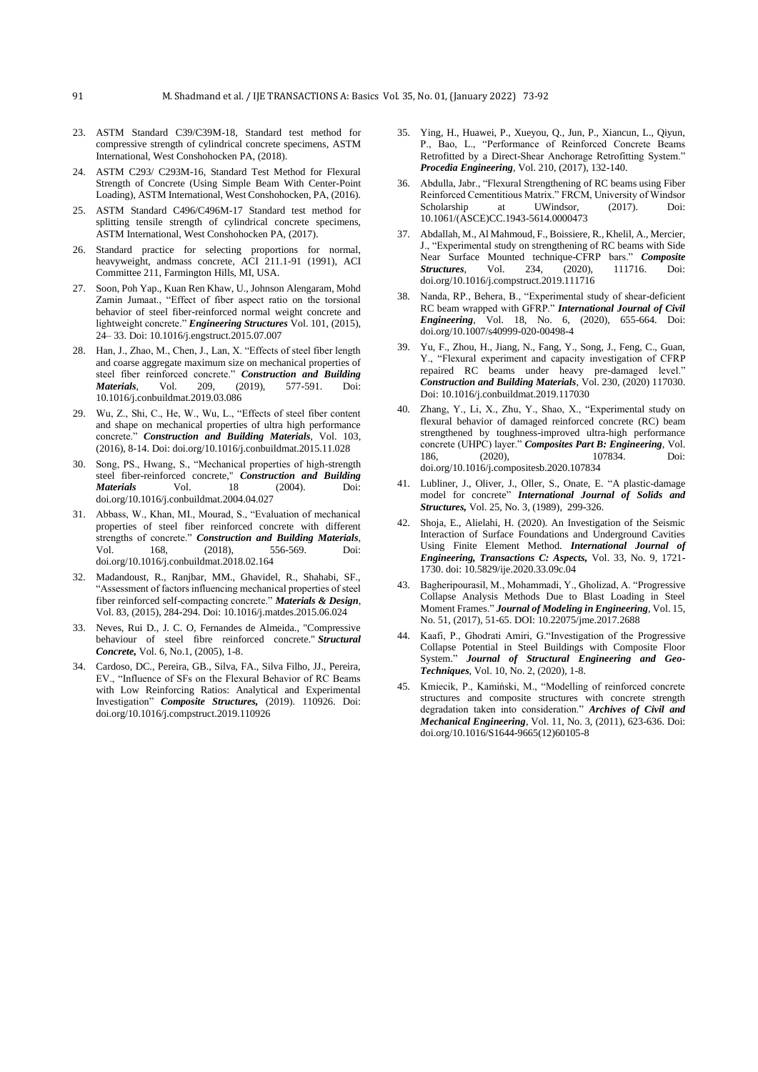- 23. ASTM Standard C39/C39M-18, Standard test method for compressive strength of cylindrical concrete specimens, ASTM International, West Conshohocken PA, (2018).
- 24. ASTM C293/ C293M-16, Standard Test Method for Flexural Strength of Concrete (Using Simple Beam With Center-Point Loading), ASTM International, West Conshohocken, PA, (2016).
- 25. ASTM Standard C496/C496M-17 Standard test method for splitting tensile strength of cylindrical concrete specimens, ASTM International, West Conshohocken PA, (2017).
- 26. Standard practice for selecting proportions for normal, heavyweight, andmass concrete, ACI 211.1-91 (1991), ACI Committee 211, Farmington Hills, MI, USA.
- 27. Soon, Poh Yap., Kuan Ren Khaw, U., Johnson Alengaram, Mohd Zamin Jumaat., "Effect of fiber aspect ratio on the torsional behavior of steel fiber-reinforced normal weight concrete and lightweight concrete." *Engineering Structures* Vol. 101, (2015), 24– 33. Doi: 10.1016/j.engstruct.2015.07.007
- 28. Han, J., Zhao, M., Chen, J., Lan, X. "Effects of steel fiber length and coarse aggregate maximum size on mechanical properties of steel fiber reinforced concrete." *Construction and Building Materials*, Vol. 209, (2019), 577-591. 10.1016/j.conbuildmat.2019.03.086
- 29. Wu, Z., Shi, C., He, W., Wu, L., "Effects of steel fiber content and shape on mechanical properties of ultra high performance concrete." *Construction and Building Materials*, Vol. 103, (2016), 8-14. Doi: doi.org/10.1016/j.conbuildmat.2015.11.028
- 30. Song, PS., Hwang, S., "Mechanical properties of high-strength steel fiber-reinforced concrete," *Construction and Building Materials* Vol. 18 (2004). Doi: doi.org/10.1016/j.conbuildmat.2004.04.027
- 31. Abbass, W., Khan, MI., Mourad, S., "Evaluation of mechanical properties of steel fiber reinforced concrete with different strengths of concrete." *Construction and Building Materials*, Vol. 168, (2018), 556-569. Doi: doi.org/10.1016/j.conbuildmat.2018.02.164
- 32. Madandoust, R., Ranjbar, MM., Ghavidel, R., Shahabi, SF., "Assessment of factors influencing mechanical properties of steel fiber reinforced self-compacting concrete." *Materials & Design*, Vol. 83, (2015), 284-294. Doi: 10.1016/j.matdes.2015.06.024
- 33. Neves, Rui D., J. C. O, Fernandes de Almeida., "Compressive behaviour of steel fibre reinforced concrete." *Structural Concrete,* Vol. 6, No.1, (2005), 1-8.
- 34. Cardoso, DC., Pereira, GB., Silva, FA., Silva Filho, JJ., Pereira, EV., "Influence of SFs on the Flexural Behavior of RC Beams with Low Reinforcing Ratios: Analytical and Experimental Investigation" *Composite Structures,* (2019). 110926. Doi: doi.org/10.1016/j.compstruct.2019.110926
- 35. Ying, H., Huawei, P., Xueyou, Q., Jun, P., Xiancun, L., Qiyun, P., Bao, L., "Performance of Reinforced Concrete Beams Retrofitted by a Direct-Shear Anchorage Retrofitting System." *Procedia Engineering*, Vol. 210, (2017), 132-140.
- 36. Abdulla, Jabr., "Flexural Strengthening of RC beams using Fiber Reinforced Cementitious Matrix." FRCM, University of Windsor Scholarship at UWindsor, (2017). Doi: 10.1061/(ASCE)CC.1943-5614.0000473
- 37. Abdallah, M., Al Mahmoud, F., Boissiere, R., Khelil, A., Mercier, J., "Experimental study on strengthening of RC beams with Side Near Surface Mounted technique-CFRP bars." *Composite Structures*, Vol. 234, (2020), 111716. Doi: doi.org/10.1016/j.compstruct.2019.111716
- 38. Nanda, RP., Behera, B., "Experimental study of shear-deficient RC beam wrapped with GFRP." *International Journal of Civil Engineering*, Vol. 18, No. 6, (2020), 655-664. Doi: doi.org/10.1007/s40999-020-00498-4
- 39. Yu, F., Zhou, H., Jiang, N., Fang, Y., Song, J., Feng, C., Guan, Y., "Flexural experiment and capacity investigation of CFRP repaired RC beams under heavy pre-damaged level." *Construction and Building Materials*, Vol. 230, (2020) 117030. Doi: 10.1016/j.conbuildmat.2019.117030
- 40. Zhang, Y., Li, X., Zhu, Y., Shao, X., "Experimental study on flexural behavior of damaged reinforced concrete (RC) beam strengthened by toughness-improved ultra-high performance concrete (UHPC) layer." *Composites Part B: Engineering*, Vol. 186, (2020), 107834. Doi: doi.org/10.1016/j.compositesb.2020.107834
- 41. Lubliner, J., Oliver, J., Oller, S., Onate, E. "A plastic-damage model for concrete" *International Journal of Solids and Structures,* Vol. 25, No. 3, (1989), 299-326.
- 42. Shoja, E., Alielahi, H. (2020). An Investigation of the Seismic Interaction of Surface Foundations and Underground Cavities Using Finite Element Method. *International Journal of Engineering, Transactions C: Aspects,* Vol. 33, No. 9, 1721- 1730. doi: 10.5829/ije.2020.33.09c.04
- 43. Bagheripourasil, M., Mohammadi, Y., Gholizad, A. "Progressive Collapse Analysis Methods Due to Blast Loading in Steel Moment Frames." *Journal of Modeling in Engineering*, Vol. 15, No. 51, (2017), 51-65. DOI: 10.22075/jme.2017.2688
- 44. Kaafi, P., Ghodrati Amiri, G."Investigation of the Progressive Collapse Potential in Steel Buildings with Composite Floor System." *Journal of Structural Engineering and Geo-Techniques*, Vol. 10, No. 2, (2020), 1-8.
- 45. Kmiecik, P., Kamiński, M., "Modelling of reinforced concrete structures and composite structures with concrete strength degradation taken into consideration." *Archives of Civil and Mechanical Engineering*, Vol. 11, No. 3, (2011), 623-636. Doi: doi.org/10.1016/S1644-9665(12)60105-8